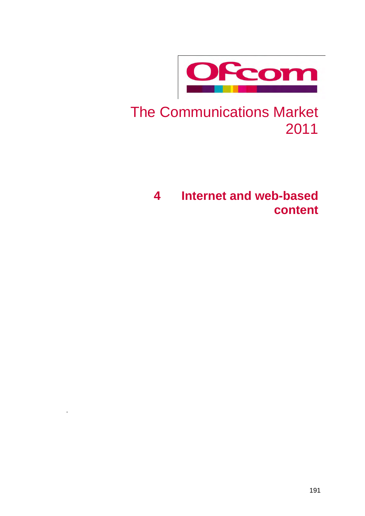

## The Communications Market 2011

## **4 Internet and web-based content**

.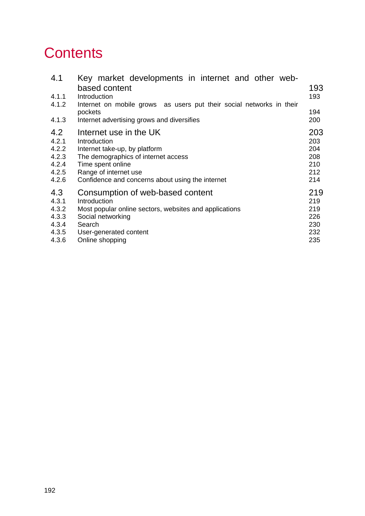## **Contents**

| 4.1   | Key market developments in internet and other web-<br>based content             | 193 |  |  |  |  |  |  |
|-------|---------------------------------------------------------------------------------|-----|--|--|--|--|--|--|
| 4.1.1 | Introduction                                                                    | 193 |  |  |  |  |  |  |
| 4.1.2 | Internet on mobile grows as users put their social networks in their<br>pockets | 194 |  |  |  |  |  |  |
| 4.1.3 | Internet advertising grows and diversifies                                      | 200 |  |  |  |  |  |  |
| 4.2   | Internet use in the UK                                                          | 203 |  |  |  |  |  |  |
| 4.2.1 | Introduction                                                                    | 203 |  |  |  |  |  |  |
| 4.2.2 | Internet take-up, by platform                                                   | 204 |  |  |  |  |  |  |
| 4.2.3 | The demographics of internet access                                             | 208 |  |  |  |  |  |  |
| 4.2.4 | Time spent online                                                               | 210 |  |  |  |  |  |  |
| 4.2.5 | Range of internet use                                                           | 212 |  |  |  |  |  |  |
| 4.2.6 | Confidence and concerns about using the internet                                |     |  |  |  |  |  |  |
| 4.3   | Consumption of web-based content                                                | 219 |  |  |  |  |  |  |
| 4.3.1 | Introduction                                                                    | 219 |  |  |  |  |  |  |
| 4.3.2 | Most popular online sectors, websites and applications                          | 219 |  |  |  |  |  |  |
| 4.3.3 | Social networking                                                               | 226 |  |  |  |  |  |  |
| 4.3.4 | Search                                                                          | 230 |  |  |  |  |  |  |
| 4.3.5 | User-generated content                                                          | 232 |  |  |  |  |  |  |
| 4.3.6 | Online shopping                                                                 | 235 |  |  |  |  |  |  |
|       |                                                                                 |     |  |  |  |  |  |  |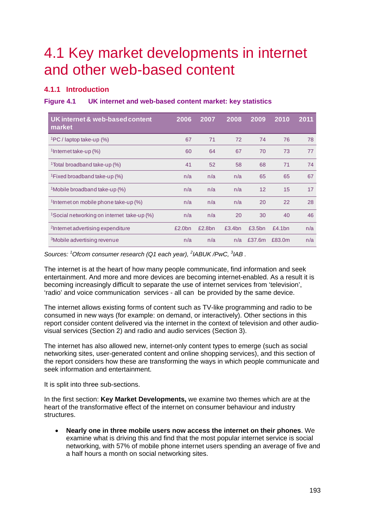## <span id="page-2-0"></span>4.1 Key market developments in internet and other web-based content

## <span id="page-2-1"></span>**4.1.1 Introduction**

## **Figure 4.1 UK internet and web-based content market: key statistics**

| UK internet & web-based content<br>market              | 2006   | 2007   | 2008   | 2009   | 2010   | 2011 |
|--------------------------------------------------------|--------|--------|--------|--------|--------|------|
| $\frac{1}{2}$ PC / laptop take-up (%)                  | 67     | 71     | 72     | 74     | 76     | 78   |
| <sup>1</sup> Internet take-up $(\%)$                   | 60     | 64     | 67     | 70     | 73     | 77   |
| <sup>1</sup> Total broadband take-up (%)               | 41     | 52     | 58     | 68     | 71     | 74   |
| <sup>1</sup> Fixed broadband take-up (%)               | n/a    | n/a    | n/a    | 65     | 65     | 67   |
| <sup>1</sup> Mobile broadband take-up (%)              | n/a    | n/a    | n/a    | 12     | 15     | 17   |
| <sup>1</sup> Internet on mobile phone take-up $(\%)$   | n/a    | n/a    | n/a    | 20     | 22     | 28   |
| <sup>1</sup> Social networking on internet take-up (%) | n/a    | n/a    | 20     | 30     | 40     | 46   |
| <sup>2</sup> Internet advertising expenditure          | £2.0bn | £2.8bn | £3.4bn | £3.5bn | f4.1bn | n/a  |
| <sup>3</sup> Mobile advertising revenue                | n/a    | n/a    | n/a    | £37.6m | £83.0m | n/a  |

Sources: <sup>1</sup> Ofcom consumer research (Q1 each year), <sup>2</sup> IABUK /PwC, <sup>3</sup> IAB.

The internet is at the heart of how many people communicate, find information and seek entertainment. And more and more devices are becoming internet-enabled. As a result it is becoming increasingly difficult to separate the use of internet services from 'television', 'radio' and voice communication services - all can be provided by the same device.

The internet allows existing forms of content such as TV-like programming and radio to be consumed in new ways (for example: on demand, or interactively). Other sections in this report consider content delivered via the internet in the context of television and other audiovisual services (Section 2) and radio and audio services (Section 3).

The internet has also allowed new, internet-only content types to emerge (such as social networking sites, user-generated content and online shopping services), and this section of the report considers how these are transforming the ways in which people communicate and seek information and entertainment.

It is split into three sub-sections.

In the first section: **Key Market Developments,** we examine two themes which are at the heart of the transformative effect of the internet on consumer behaviour and industry structures.

• **Nearly one in three mobile users now access the internet on their phones**. We examine what is driving this and find that the most popular internet service is social networking, with 57% of mobile phone internet users spending an average of five and a half hours a month on social networking sites.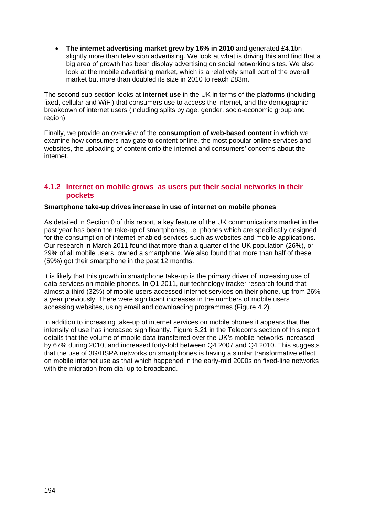• **The internet advertising market grew by 16% in 2010** and generated £4.1bn – slightly more than television advertising. We look at what is driving this and find that a big area of growth has been display advertising on social networking sites. We also look at the mobile advertising market, which is a relatively small part of the overall market but more than doubled its size in 2010 to reach £83m.

The second sub-section looks at **internet use** in the UK in terms of the platforms (including fixed, cellular and WiFi) that consumers use to access the internet, and the demographic breakdown of internet users (including splits by age, gender, socio-economic group and region).

Finally, we provide an overview of the **consumption of web-based content** in which we examine how consumers navigate to content online, the most popular online services and websites, the uploading of content onto the internet and consumers' concerns about the internet.

## <span id="page-3-0"></span>**4.1.2 Internet on mobile grows as users put their social networks in their pockets**

## **Smartphone take-up drives increase in use of internet on mobile phones**

As detailed in Section 0 of this report, a key feature of the UK communications market in the past year has been the take-up of smartphones, i.e. phones which are specifically designed for the consumption of internet-enabled services such as websites and mobile applications. Our research in March 2011 found that more than a quarter of the UK population (26%), or 29% of all mobile users, owned a smartphone. We also found that more than half of these (59%) got their smartphone in the past 12 months.

It is likely that this growth in smartphone take-up is the primary driver of increasing use of data services on mobile phones. In Q1 2011, our technology tracker research found that almost a third (32%) of mobile users accessed internet services on their phone, up from 26% a year previously. There were significant increases in the numbers of mobile users accessing websites, using email and downloading programmes [\(Figure 4.2\)](#page-4-0).

In addition to increasing take-up of internet services on mobile phones it appears that the intensity of use has increased significantly. Figure 5.21 in the Telecoms section of this report details that the volume of mobile data transferred over the UK's mobile networks increased by 67% during 2010, and increased forty-fold between Q4 2007 and Q4 2010. This suggests that the use of 3G/HSPA networks on smartphones is having a similar transformative effect on mobile internet use as that which happened in the early-mid 2000s on fixed-line networks with the migration from dial-up to broadband.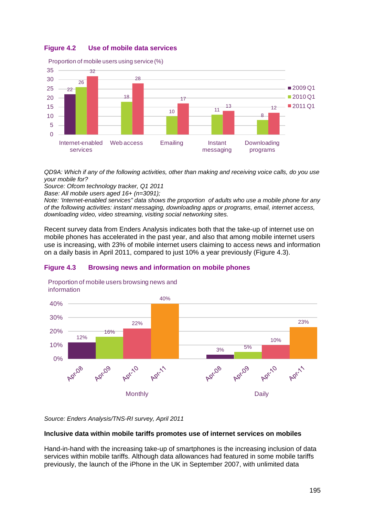## <span id="page-4-0"></span>**Figure 4.2 Use of mobile data services**



*QD9A: Which if any of the following activities, other than making and receiving voice calls, do you use your mobile for?*

*Source: Ofcom technology tracker, Q1 2011*

*Base: All mobile users aged 16+ (n=3091);*

*Note: 'Internet-enabled services" data shows the proportion of adults who use a mobile phone for any of the following activities: instant messaging, downloading apps or programs, email, internet access, downloading video, video streaming, visiting social networking sites.* 

Recent survey data from Enders Analysis indicates both that the take-up of internet use on mobile phones has accelerated in the past year, and also that among mobile internet users use is increasing, with 23% of mobile internet users claiming to access news and information on a daily basis in April 2011, compared to just 10% a year previously [\(Figure 4.3\)](#page-4-1).

## <span id="page-4-1"></span>**Figure 4.3 Browsing news and information on mobile phones**



Proportion of mobile users browsing news and information

*Source: Enders Analysis/TNS-RI survey, April 2011* 

## **Inclusive data within mobile tariffs promotes use of internet services on mobiles**

Hand-in-hand with the increasing take-up of smartphones is the increasing inclusion of data services within mobile tariffs. Although data allowances had featured in some mobile tariffs previously, the launch of the iPhone in the UK in September 2007, with unlimited data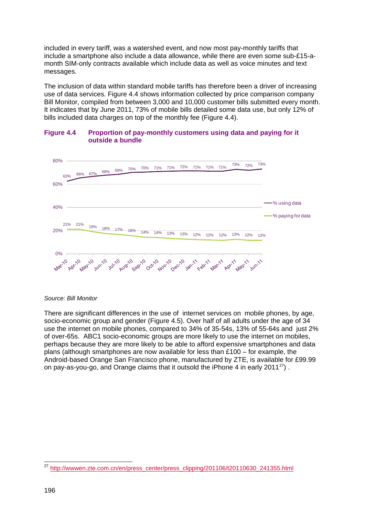included in every tariff, was a watershed event, and now most pay-monthly tariffs that include a smartphone also include a data allowance, while there are even some sub-£15-amonth SIM-only contracts available which include data as well as voice minutes and text messages.

The inclusion of data within standard mobile tariffs has therefore been a driver of increasing use of data services. [Figure 4.4](#page-5-0) shows information collected by price comparison company Bill Monitor, compiled from between 3,000 and 10,000 customer bills submitted every month. It indicates that by June 2011, 73% of mobile bills detailed some data use, but only 12% of bills included data charges on top of the monthly fee [\(Figure 4.4\)](#page-5-0).



#### <span id="page-5-0"></span>**Figure 4.4 Proportion of pay-monthly customers using data and paying for it outside a bundle**

#### *Source: Bill Monitor*

There are significant differences in the use of internet services on mobile phones, by age, socio-economic group and gender [\(Figure 4.5\)](#page-6-0). Over half of all adults under the age of 34 use the internet on mobile phones, compared to 34% of 35-54s, 13% of 55-64s and just 2% of over-65s. ABC1 socio-economic groups are more likely to use the internet on mobiles, perhaps because they are more likely to be able to afford expensive smartphones and data plans (although smartphones are now available for less than £100 – for example, the Android-based Orange San Francisco phone, manufactured by ZTE, is available for £99.99 on pay-as-you-go, and Orange claims that it outsold the iPhone 4 in early 2011 $^{27}$  $^{27}$  $^{27}$ ).

<span id="page-5-1"></span> $\overline{\phantom{a}}$ 27 [http://wwwen.zte.com.cn/en/press\\_center/press\\_clipping/201106/t20110630\\_241355.html](http://wwwen.zte.com.cn/en/press_center/press_clipping/201106/t20110630_241355.html)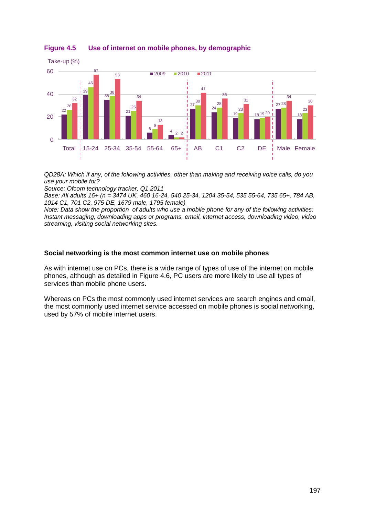

<span id="page-6-0"></span>**Figure 4.5 Use of internet on mobile phones, by demographic**

*QD28A: Which if any, of the following activities, other than making and receiving voice calls, do you use your mobile for?*

*Source: Ofcom technology tracker, Q1 2011*

*Base: All adults 16+ (n = 3474 UK, 460 16-24, 540 25-34, 1204 35-54, 535 55-64, 735 65+, 784 AB, 1014 C1, 701 C2, 975 DE, 1679 male, 1795 female)*

*Note: Data show the proportion of adults who use a mobile phone for any of the following activities: Instant messaging, downloading apps or programs, email, internet access, downloading video, video streaming, visiting social networking sites.* 

#### **Social networking is the most common internet use on mobile phones**

As with internet use on PCs, there is a wide range of types of use of the internet on mobile phones, although as detailed in [Figure 4.6,](#page-7-0) PC users are more likely to use all types of services than mobile phone users.

Whereas on PCs the most commonly used internet services are search engines and email, the most commonly used internet service accessed on mobile phones is social networking, used by 57% of mobile internet users.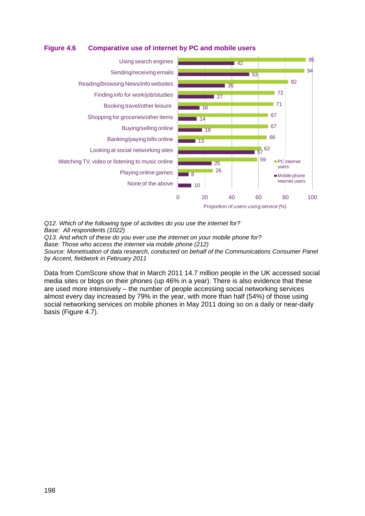<span id="page-7-0"></span>



*Q12. Which of the following type of activities do you use the internet for? Base: All respondents (1022) Q13. And which of these do you ever use the internet on your mobile phone for? Base: Those who access the internet via mobile phone (212) Source: Monetisation of data research, conducted on behalf of the Communications Consumer Panel by Accent, fieldwork in February 2011*

Data from ComScore show that in March 2011 14.7 million people in the UK accessed social media sites or blogs on their phones (up 46% in a year). There is also evidence that these are used more intensively – the number of people accessing social networking services almost every day increased by 79% in the year, with more than half (54%) of those using social networking services on mobile phones in May 2011 doing so on a daily or near-daily basis [\(Figure 4.7\)](#page-8-0).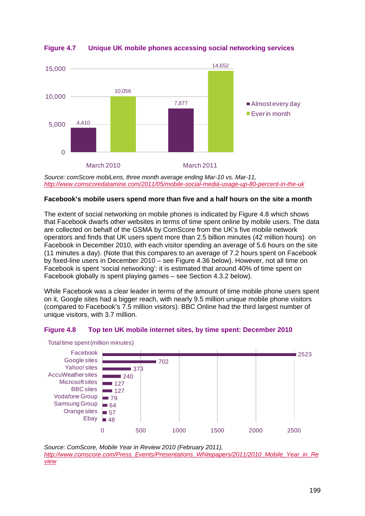

## <span id="page-8-0"></span>**Figure 4.7 Unique UK mobile phones accessing social networking services**

*Source: comScore mobiLens, three month average ending Mar-10 vs. Mar-11, <http://www.comscoredatamine.com/2011/05/mobile-social-media-usage-up-80-percent-in-the-uk>*

## **Facebook's mobile users spend more than five and a half hours on the site a month**

The extent of social networking on mobile phones is indicated by [Figure 4.8](#page-8-1) which shows that Facebook dwarfs other websites in terms of time spent online by mobile users. The data are collected on behalf of the GSMA by ComScore from the UK's five mobile network operators and finds that UK users spent more than 2.5 billion minutes (42 million hours) on Facebook in December 2010, with each visitor spending an average of 5.6 hours on the site (11 minutes a day). (Note that this compares to an average of 7.2 hours spent on Facebook by fixed-line users in December 2010 – see [Figure 4.36](#page-37-0) below). However, not all time on Facebook is spent 'social networking': it is estimated that around 40% of time spent on Facebook globally is spent playing games – see Section [4.3.2](#page-28-2) below).

While Facebook was a clear leader in terms of the amount of time mobile phone users spent on it, Google sites had a bigger reach, with nearly 9.5 million unique mobile phone visitors (compared to Facebook's 7.5 million visitors). BBC Online had the third largest number of unique visitors, with 3.7 million.

## <span id="page-8-1"></span>**Figure 4.8 Top ten UK mobile internet sites, by time spent: December 2010**



Total time spent (million minutes)

*Source: ComScore, Mobile Year in Review 2010 (February 2011), [http://www.comscore.com/Press\\_Events/Presentations\\_Whitepapers/2011/2010\\_Mobile\\_Year\\_in\\_Re](http://www.comscore.com/Press_Events/Presentations_Whitepapers/2011/2010_Mobile_Year_in_Review) [view](http://www.comscore.com/Press_Events/Presentations_Whitepapers/2011/2010_Mobile_Year_in_Review)*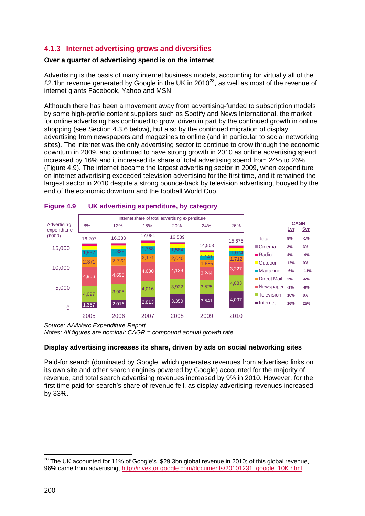## <span id="page-9-0"></span>**4.1.3 Internet advertising grows and diversifies**

## **Over a quarter of advertising spend is on the internet**

Advertising is the basis of many internet business models, accounting for virtually all of the £2.1bn revenue generated by Google in the UK in 2010<sup>[28](#page-9-2)</sup>, as well as most of the revenue of internet giants Facebook, Yahoo and MSN.

Although there has been a movement away from advertising-funded to subscription models by some high-profile content suppliers such as Spotify and News International, the market for online advertising has continued to grow, driven in part by the continued growth in online shopping (see Section [4.3.6](#page-44-0) below), but also by the continued migration of display advertising from newspapers and magazines to online (and in particular to social networking sites). The internet was the only advertising sector to continue to grow through the economic downturn in 2009, and continued to have strong growth in 2010 as online advertising spend increased by 16% and it increased its share of total advertising spend from 24% to 26% [\(Figure 4.9\)](#page-9-1). The internet became the largest advertising sector in 2009, when expenditure on internet advertising exceeded television advertising for the first time, and it remained the largest sector in 2010 despite a strong bounce-back by television advertising, buoyed by the end of the economic downturn and the football World Cup.



## <span id="page-9-1"></span>**Figure 4.9 UK advertising expenditure, by category**

*Source: AA/Warc Expenditure Report Notes: All figures are nominal; CAGR = compound annual growth rate.* 

## **Display advertising increases its share, driven by ads on social networking sites**

Paid-for search (dominated by Google, which generates revenues from advertised links on its own site and other search engines powered by Google) accounted for the majority of revenue, and total search advertising revenues increased by 9% in 2010. However, for the first time paid-for search's share of revenue fell, as display advertising revenues increased by 33%.

<span id="page-9-2"></span> $\overline{a}$  $^{28}$  The UK accounted for 11% of Google's  $$29.3$ bn global revenue in 2010; of this global revenue, 96% came from advertising, [http://investor.google.com/documents/20101231\\_google\\_10K.html](http://investor.google.com/documents/20101231_google_10K.html)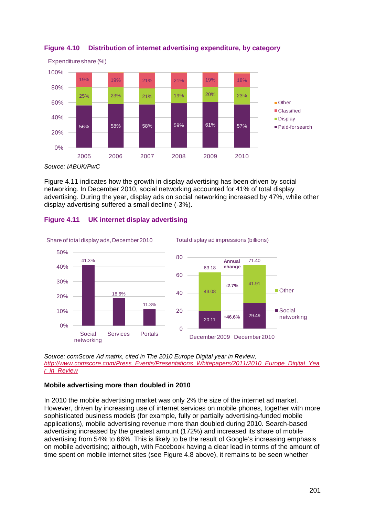



[Figure 4.11](#page-10-0) indicates how the growth in display advertising has been driven by social networking. In December 2010, social networking accounted for 41% of total display advertising. During the year, display ads on social networking increased by 47%, while other display advertising suffered a small decline (-3%).



## <span id="page-10-0"></span>**Figure 4.11 UK internet display advertising**

*Source: comScore Ad matrix, cited in The 2010 Europe Digital year in Review, [http://www.comscore.com/Press\\_Events/Presentations\\_Whitepapers/2011/2010\\_Europe\\_Digital\\_Yea](http://www.comscore.com/Press_Events/Presentations_Whitepapers/2011/2010_Europe_Digital_Year_in_Review) [r\\_in\\_Review](http://www.comscore.com/Press_Events/Presentations_Whitepapers/2011/2010_Europe_Digital_Year_in_Review)*

## **Mobile advertising more than doubled in 2010**

In 2010 the mobile advertising market was only 2% the size of the internet ad market. However, driven by increasing use of internet services on mobile phones, together with more sophisticated business models (for example, fully or partially advertising-funded mobile applications), mobile advertising revenue more than doubled during 2010. Search-based advertising increased by the greatest amount (172%) and increased its share of mobile advertising from 54% to 66%. This is likely to be the result of Google's increasing emphasis on mobile advertising; although, with Facebook having a clear lead in terms of the amount of time spent on mobile internet sites (see [Figure 4.8](#page-8-1) above), it remains to be seen whether

*Source: IABUK/PwC*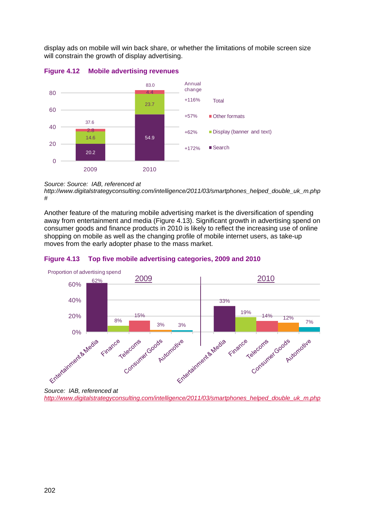display ads on mobile will win back share, or whether the limitations of mobile screen size will constrain the growth of display advertising.



## **Figure 4.12 Mobile advertising revenues**

#### *Source: Source: IAB, referenced at*

*http://www.digitalstrategyconsulting.com/intelligence/2011/03/smartphones\_helped\_double\_uk\_m.php #* 

Another feature of the maturing mobile advertising market is the diversification of spending away from entertainment and media [\(Figure 4.13\)](#page-11-0). Significant growth in advertising spend on consumer goods and finance products in 2010 is likely to reflect the increasing use of online shopping on mobile as well as the changing profile of mobile internet users, as take-up moves from the early adopter phase to the mass market.

<span id="page-11-0"></span>



*Source: IAB, referenced at* 

*[http://www.digitalstrategyconsulting.com/intelligence/2011/03/smartphones\\_helped\\_double\\_uk\\_m.php](http://www.digitalstrategyconsulting.com/intelligence/2011/03/smartphones_helped_double_uk_m.php)*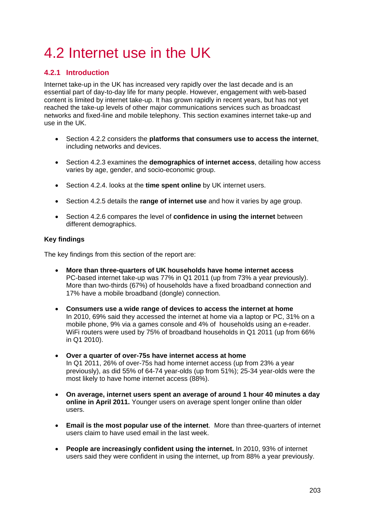# <span id="page-12-0"></span>4.2 Internet use in the UK

## <span id="page-12-1"></span>**4.2.1 Introduction**

Internet take-up in the UK has increased very rapidly over the last decade and is an essential part of day-to-day life for many people. However, engagement with web-based content is limited by internet take-up. It has grown rapidly in recent years, but has not yet reached the take-up levels of other major communications services such as broadcast networks and fixed-line and mobile telephony. This section examines internet take-up and use in the UK.

- Section [4.2.2](#page-13-0) considers the **platforms that consumers use to access the internet**, including networks and devices.
- Section [4.2.3](#page-17-0) examines the **demographics of internet access**, detailing how access varies by age, gender, and socio-economic group.
- Section [4.2.4.](#page-19-0) looks at the **time spent online** by UK internet users.
- Section [4.2.5](#page-21-0) details the **range of internet use** and how it varies by age group.
- Section [4.2.6](#page-23-0) compares the level of **confidence in using the internet** between different demographics.

## **Key findings**

The key findings from this section of the report are:

- **More than three-quarters of UK households have home internet access** PC-based internet take-up was 77% in Q1 2011 (up from 73% a year previously). More than two-thirds (67%) of households have a fixed broadband connection and 17% have a mobile broadband (dongle) connection.
- **Consumers use a wide range of devices to access the internet at home** In 2010, 69% said they accessed the internet at home via a laptop or PC, 31% on a mobile phone, 9% via a games console and 4% of households using an e-reader. WiFi routers were used by 75% of broadband households in Q1 2011 (up from 66% in Q1 2010).
- **Over a quarter of over-75s have internet access at home** In Q1 2011, 26% of over-75s had home internet access (up from 23% a year previously), as did 55% of 64-74 year-olds (up from 51%); 25-34 year-olds were the most likely to have home internet access (88%).
- **On average, internet users spent an average of around 1 hour 40 minutes a day online in April 2011.** Younger users on average spent longer online than older users.
- **Email is the most popular use of the internet**. More than three-quarters of internet users claim to have used email in the last week.
- **People are increasingly confident using the internet.** In 2010, 93% of internet users said they were confident in using the internet, up from 88% a year previously.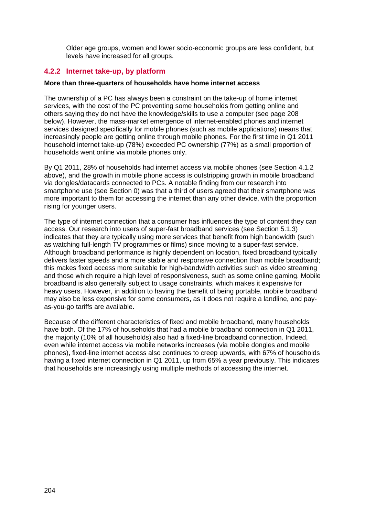Older age groups, women and lower socio-economic groups are less confident, but levels have increased for all groups.

## <span id="page-13-0"></span>**4.2.2 Internet take-up, by platform**

#### **More than three-quarters of households have home internet access**

The ownership of a PC has always been a constraint on the take-up of home internet services, with the cost of the PC preventing some households from getting online and others saying they do not have the knowledge/skills to use a computer (see page [208](#page-17-1) below). However, the mass-market emergence of internet-enabled phones and internet services designed specifically for mobile phones (such as mobile applications) means that increasingly people are getting online through mobile phones. For the first time in Q1 2011 household internet take-up (78%) exceeded PC ownership (77%) as a small proportion of households went online via mobile phones only.

By Q1 2011, 28% of households had internet access via mobile phones (see Section [4.1.2](#page-3-0) above), and the growth in mobile phone access is outstripping growth in mobile broadband via dongles/datacards connected to PCs. A notable finding from our research into smartphone use (see Section 0) was that a third of users agreed that their smartphone was more important to them for accessing the internet than any other device, with the proportion rising for younger users.

The type of internet connection that a consumer has influences the type of content they can access. Our research into users of super-fast broadband services (see Section 5.1.3) indicates that they are typically using more services that benefit from high bandwidth (such as watching full-length TV programmes or films) since moving to a super-fast service. Although broadband performance is highly dependent on location, fixed broadband typically delivers faster speeds and a more stable and responsive connection than mobile broadband; this makes fixed access more suitable for high-bandwidth activities such as video streaming and those which require a high level of responsiveness, such as some online gaming. Mobile broadband is also generally subject to usage constraints, which makes it expensive for heavy users. However, in addition to having the benefit of being portable, mobile broadband may also be less expensive for some consumers, as it does not require a landline, and payas-you-go tariffs are available.

Because of the different characteristics of fixed and mobile broadband, many households have both. Of the 17% of households that had a mobile broadband connection in Q1 2011, the majority (10% of all households) also had a fixed-line broadband connection. Indeed, even while internet access via mobile networks increases (via mobile dongles and mobile phones), fixed-line internet access also continues to creep upwards, with 67% of households having a fixed internet connection in Q1 2011, up from 65% a year previously. This indicates that households are increasingly using multiple methods of accessing the internet.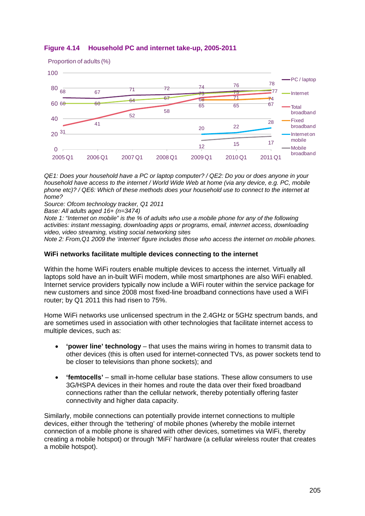

## **Figure 4.14 Household PC and internet take-up, 2005-2011**

*QE1: Does your household have a PC or laptop computer? / QE2: Do you or does anyone in your household have access to the internet / World Wide Web at home (via any device, e.g. PC, mobile phone etc)? / QE6: Which of these methods does your household use to connect to the internet at home?*

*Source: Ofcom technology tracker, Q1 2011*

*Base: All adults aged 16+ (n=3474)*

*Note 1: "Internet on mobile" is the % of adults who use a mobile phone for any of the following activities: instant messaging, downloading apps or programs, email, internet access, downloading video, video streaming, visiting social networking sites*

*Note 2: From,Q1 2009 the 'internet' figure includes those who access the internet on mobile phones.* 

#### **WiFi networks facilitate multiple devices connecting to the internet**

Within the home WiFi routers enable multiple devices to access the internet. Virtually all laptops sold have an in-built WiFi modem, while most smartphones are also WiFi enabled. Internet service providers typically now include a WiFi router within the service package for new customers and since 2008 most fixed-line broadband connections have used a WiFi router; by Q1 2011 this had risen to 75%.

Home WiFi networks use unlicensed spectrum in the 2.4GHz or 5GHz spectrum bands, and are sometimes used in association with other technologies that facilitate internet access to multiple devices, such as:

- **'power line' technology** that uses the mains wiring in homes to transmit data to other devices (this is often used for internet-connected TVs, as power sockets tend to be closer to televisions than phone sockets); and
- **'femtocells'** small in-home cellular base stations. These allow consumers to use 3G/HSPA devices in their homes and route the data over their fixed broadband connections rather than the cellular network, thereby potentially offering faster connectivity and higher data capacity.

Similarly, mobile connections can potentially provide internet connections to multiple devices, either through the 'tethering' of mobile phones (whereby the mobile internet connection of a mobile phone is shared with other devices, sometimes via WiFi, thereby creating a mobile hotspot) or through 'MiFi' hardware (a cellular wireless router that creates a mobile hotspot).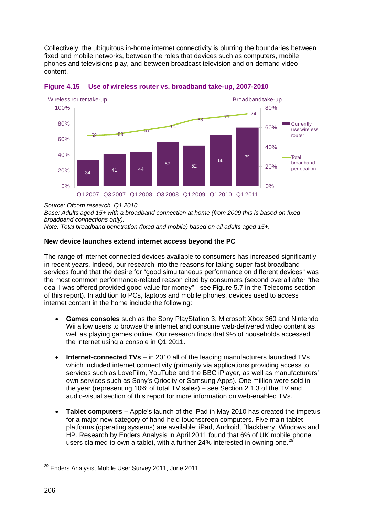Collectively, the ubiquitous in-home internet connectivity is blurring the boundaries between fixed and mobile networks, between the roles that devices such as computers, mobile phones and televisions play, and between broadcast television and on-demand video content.



**Figure 4.15 Use of wireless router vs. broadband take-up, 2007-2010**

*Base: Adults aged 15+ with a broadband connection at home (from 2009 this is based on fixed broadband connections only).*

*Note: Total broadband penetration (fixed and mobile) based on all adults aged 15+.*

## **New device launches extend internet access beyond the PC**

The range of internet-connected devices available to consumers has increased significantly in recent years. Indeed, our research into the reasons for taking super-fast broadband services found that the desire for "good simultaneous performance on different devices" was the most common performance-related reason cited by consumers (second overall after "the deal I was offered provided good value for money" - see Figure 5.7 in the Telecoms section of this report). In addition to PCs, laptops and mobile phones, devices used to access internet content in the home include the following:

- **Games consoles** such as the Sony PlayStation 3, Microsoft Xbox 360 and Nintendo Wii allow users to browse the internet and consume web-delivered video content as well as playing games online. Our research finds that 9% of households accessed the internet using a console in Q1 2011.
- **Internet-connected TVs** in 2010 all of the leading manufacturers launched TVs which included internet connectivity (primarily via applications providing access to services such as LoveFilm, YouTube and the BBC iPlayer, as well as manufacturers' own services such as Sony's Qriocity or Samsung Apps). One million were sold in the year (representing 10% of total TV sales) – see Section 2.1.3 of the TV and audio-visual section of this report for more information on web-enabled TVs.
- **Tablet computers** Apple's launch of the iPad in May 2010 has created the impetus for a major new category of hand-held touchscreen computers. Five main tablet platforms (operating systems) are available: iPad, Android, Blackberry, Windows and HP. Research by Enders Analysis in April 2011 found that 6% of UK mobile phone users claimed to own a tablet, with a further 24% interested in owning one.<sup>21</sup>

*Source: Ofcom research, Q1 2010.*

<span id="page-15-0"></span> $\overline{\phantom{a}}$ <sup>29</sup> Enders Analysis, Mobile User Survey 2011, June 2011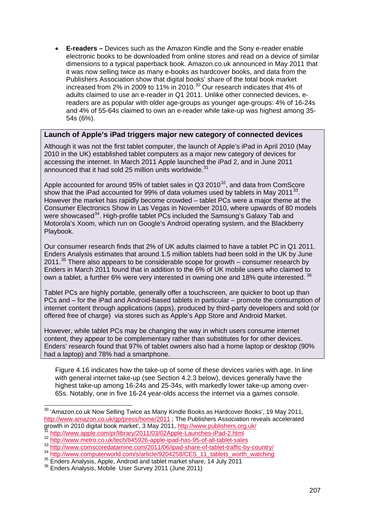• **E-readers –** Devices such as the Amazon Kindle and the Sony e-reader enable electronic books to be downloaded from online stores and read on a device of similar dimensions to a typical paperback book. Amazon.co.uk announced in May 2011 that it was now selling twice as many e-books as hardcover books, and data from the Publishers Association show that digital books' share of the total book market increased from 2% in 2009 to 11% in 2010. $^{30}$  $^{30}$  $^{30}$  Our research indicates that 4% of adults claimed to use an e-reader in Q1 2011. Unlike other connected devices, ereaders are as popular with older age-groups as younger age-groups: 4% of 16-24s and 4% of 55-64s claimed to own an e-reader while take-up was highest among 35- 54s (6%).

## **Launch of Apple's iPad triggers major new category of connected devices**

Although it was not the first tablet computer, the launch of Apple's iPad in April 2010 (May 2010 in the UK) established tablet computers as a major new category of devices for accessing the internet. In March 2011 Apple launched the iPad 2, and in June 2011 announced that it had sold 25 million units worldwide.<sup>[31](#page-16-0)</sup>

Apple accounted for around 95% of tablet sales in  $Q3 2010^{32}$  $Q3 2010^{32}$  $Q3 2010^{32}$ , and data from ComScore show that the iPad accounted for 99% of data volumes used by tablets in May 2011 $33$ . However the market has rapidly become crowded – tablet PCs were a major theme at the Consumer Electronics Show in Las Vegas in November 2010, where upwards of 80 models were showcased<sup>[34](#page-16-0)</sup>. High-profile tablet PCs included the Samsung's Galaxy Tab and Motorola's Xoom, which run on Google's Android operating system, and the Blackberry Playbook.

Our consumer research finds that 2% of UK adults claimed to have a tablet PC in Q1 2011. Enders Analysis estimates that around 1.5 million tablets had been sold in the UK by June 2011. $35$  There also appears to be considerable scope for growth  $-$  consumer research by Enders in March 2011 found that in addition to the 6% of UK mobile users who claimed to own a tablet, a further 6% were very interested in owning one and 18% quite interested. <sup>[36](#page-16-0)</sup>

Tablet PCs are highly portable, generally offer a touchscreen, are quicker to boot up than PCs and – for the iPad and Android-based tablets in particular – promote the consumption of internet content through applications (apps), produced by third-party developers and sold (or offered free of charge) via stores such as Apple's App Store and Android Market.

However, while tablet PCs may be changing the way in which users consume internet content, they appear to be complementary rather than substitutes for for other devices. Enders' research found that 97% of tablet owners also had a home laptop or desktop (90% had a laptop) and 78% had a smartphone.

[Figure 4.16](#page-17-1) indicates how the take-up of some of these devices varies with age. In line with general internet take-up (see Section [4.2.3](#page-17-0) below), devices generally have the highest take-up among 16-24s and 25-34s, with markedly lower take-up among over-65s. Notably, one in five 16-24 year-olds access the internet via a games console.

 $\overline{a}$ 

<span id="page-16-0"></span> $30$  'Amazon.co.uk Now Selling Twice as Many Kindle Books as Hardcover Books', 19 May 2011, <http://www.amazon.co.uk/gp/press/home/2011> ; The Publishers Association reveals accelerated<br>growth in 2010 digital book market', 3 May 2011, http://www.publishers.org.uk/

 $\frac{\text{31}}{\text{32}}$  http://www.apple.com/pr/library/2011/03/02Apple-Launches-iPad-2.html<br>  $\frac{\text{33}}{\text{http://www.metro.co.uk/tech/845926-apple-ipad-has-95-of-all-tabletsales}}$ <br>  $\frac{\text{34}}{\text{53}}$  http://www.comscoredatamine.com/2011/06/ipad-share-of-tablet-traffic-b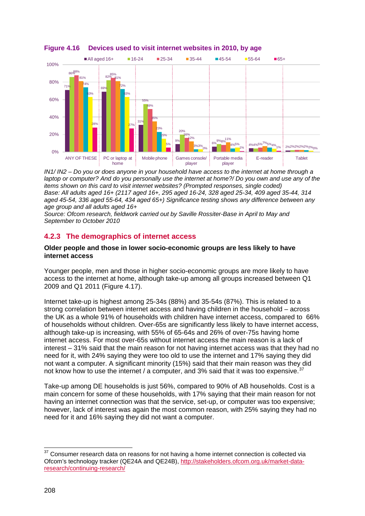

#### <span id="page-17-1"></span>**Figure 4.16 Devices used to visit internet websites in 2010, by age**

*IN1/ IN2 – Do you or does anyone in your household have access to the internet at home through a laptop or computer? And do you personally use the internet at home?/ Do you own and use any of the items shown on this card to visit internet websites? (Prompted responses, single coded) Base: All adults aged 16+ (2117 aged 16+, 295 aged 16-24, 328 aged 25-34, 409 aged 35-44, 314 aged 45-54, 336 aged 55-64, 434 aged 65+) Significance testing shows any difference between any age group and all adults aged 16+*

*Source: Ofcom research, fieldwork carried out by Saville Rossiter-Base in April to May and September to October 2010* 

## <span id="page-17-0"></span>**4.2.3 The demographics of internet access**

#### **Older people and those in lower socio-economic groups are less likely to have internet access**

Younger people, men and those in higher socio-economic groups are more likely to have access to the internet at home, although take-up among all groups increased between Q1 2009 and Q1 2011 [\(Figure 4.17\)](#page-18-0).

Internet take-up is highest among 25-34s (88%) and 35-54s (87%). This is related to a strong correlation between internet access and having children in the household – across the UK as a whole 91% of households with children have internet access, compared to 66% of households without children. Over-65s are significantly less likely to have internet access, although take-up is increasing, with 55% of 65-64s and 26% of over-75s having home internet access. For most over-65s without internet access the main reason is a lack of interest – 31% said that the main reason for not having internet access was that they had no need for it, with 24% saying they were too old to use the internet and 17% saying they did not want a computer. A significant minority (15%) said that their main reason was they did not know how to use the internet / a computer, and 3% said that it was too expensive.<sup>3</sup>

Take-up among DE households is just 56%, compared to 90% of AB households. Cost is a main concern for some of these households, with 17% saying that their main reason for not having an internet connection was that the service, set-up, or computer was too expensive; however, lack of interest was again the most common reason, with 25% saying they had no need for it and 16% saying they did not want a computer.

<span id="page-17-2"></span> $\overline{a}$  $37$  Consumer research data on reasons for not having a home internet connection is collected via Ofcom's technology tracker (QE24A and QE24B), [http://stakeholders.ofcom.org.uk/market-data](http://stakeholders.ofcom.org.uk/market-data-research/continuing-research/)[research/continuing-research/](http://stakeholders.ofcom.org.uk/market-data-research/continuing-research/)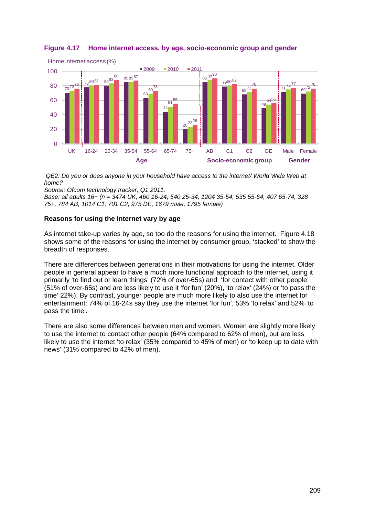

## <span id="page-18-0"></span>**Figure 4.17 Home internet access, by age, socio-economic group and gender**

*QE2: Do you or does anyone in your household have access to the internet/ World Wide Web at home?*

*Source: Ofcom technology tracker, Q1 2011.*

*Base: all adults 16+ (n = 3474 UK, 460 16-24, 540 25-34, 1204 35-54, 535 55-64, 407 65-74, 328 75+, 784 AB, 1014 C1, 701 C2, 975 DE, 1679 male, 1795 female)* 

## **Reasons for using the internet vary by age**

As internet take-up varies by age, so too do the reasons for using the internet. [Figure 4.18](#page-19-1) shows some of the reasons for using the internet by consumer group, 'stacked' to show the breadth of responses.

There are differences between generations in their motivations for using the internet. Older people in general appear to have a much more functional approach to the internet, using it primarily 'to find out or learn things' (72% of over-65s) and 'for contact with other people' (51% of over-65s) and are less likely to use it 'for fun' (20%), 'to relax' (24%) or 'to pass the time' 22%). By contrast, younger people are much more likely to also use the internet for entertainment: 74% of 16-24s say they use the internet 'for fun', 53% 'to relax' and 52% 'to pass the time'.

There are also some differences between men and women. Women are slightly more likely to use the internet to contact other people (64% compared to 62% of men), but are less likely to use the internet 'to relax' (35% compared to 45% of men) or 'to keep up to date with news' (31% compared to 42% of men).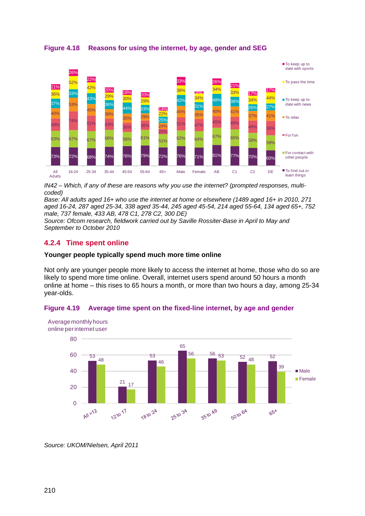

<span id="page-19-1"></span>**Figure 4.18 Reasons for using the internet, by age, gender and SEG**

 *IN42 – Which, if any of these are reasons why you use the internet? (prompted responses, multicoded)*

*Base: All adults aged 16+ who use the internet at home or elsewhere (1489 aged 16+ in 2010, 271 aged 16-24, 287 aged 25-34, 338 aged 35-44, 245 aged 45-54, 214 aged 55-64, 134 aged 65+, 752 male, 737 female, 433 AB, 478 C1, 278 C2, 300 DE)*

*Source: Ofcom research, fieldwork carried out by Saville Rossiter-Base in April to May and September to October 2010* 

## <span id="page-19-0"></span>**4.2.4 Time spent online**

#### **Younger people typically spend much more time online**

Not only are younger people more likely to access the internet at home, those who do so are likely to spend more time online. Overall, internet users spend around 50 hours a month online at home – this rises to 65 hours a month, or more than two hours a day, among 25-34 year-olds.





*Source: UKOM/Nielsen, April 2011*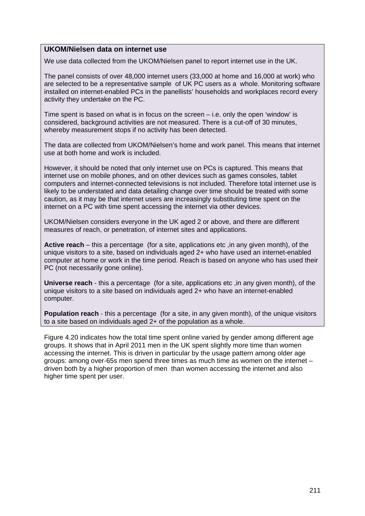## **UKOM/Nielsen data on internet use**

We use data collected from the UKOM/Nielsen panel to report internet use in the UK.

The panel consists of over 48,000 internet users (33,000 at home and 16,000 at work) who are selected to be a representative sample of UK PC users as a whole. Monitoring software installed on internet-enabled PCs in the panellists' households and workplaces record every activity they undertake on the PC.

Time spent is based on what is in focus on the screen – i.e. only the open 'window' is considered, background activities are not measured. There is a cut-off of 30 minutes, whereby measurement stops if no activity has been detected.

The data are collected from UKOM/Nielsen's home and work panel. This means that internet use at both home and work is included.

However, it should be noted that only internet use on PCs is captured. This means that internet use on mobile phones, and on other devices such as games consoles, tablet computers and internet-connected televisions is not included. Therefore total internet use is likely to be understated and data detailing change over time should be treated with some caution, as it may be that internet users are increasingly substituting time spent on the internet on a PC with time spent accessing the internet via other devices.

UKOM/Nielsen considers everyone in the UK aged 2 or above, and there are different measures of reach, or penetration, of internet sites and applications.

**Active reach** – this a percentage (for a site, applications etc ,in any given month), of the unique visitors to a site, based on individuals aged 2+ who have used an internet-enabled computer at home or work in the time period. Reach is based on anyone who has used their PC (not necessarily gone online).

**Universe reach** - this a percentage (for a site, applications etc, in any given month), of the unique visitors to a site based on individuals aged 2+ who have an internet-enabled computer.

**Population reach** - this a percentage (for a site, in any given month), of the unique visitors to a site based on individuals aged 2+ of the population as a whole.

[Figure 4.20](#page-21-1) indicates how the total time spent online varied by gender among different age groups. It shows that in April 2011 men in the UK spent slightly more time than women accessing the internet. This is driven in particular by the usage pattern among older age groups: among over-65s men spend three times as much time as women on the internet – driven both by a higher proportion of men than women accessing the internet and also higher time spent per user.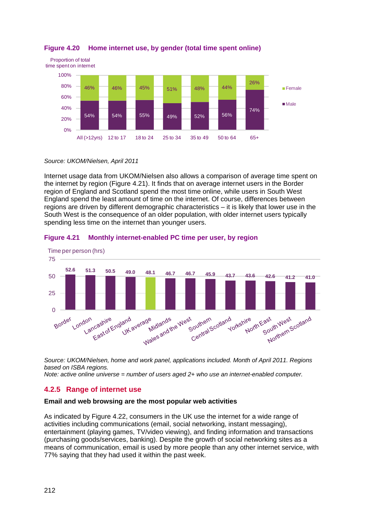

## <span id="page-21-1"></span>**Figure 4.20 Home internet use, by gender (total time spent online)**

*Source: UKOM/Nielsen, April 2011* 

Internet usage data from UKOM/Nielsen also allows a comparison of average time spent on the internet by region [\(Figure 4.21\)](#page-21-2). It finds that on average internet users in the Border region of England and Scotland spend the most time online, while users in South West England spend the least amount of time on the internet. Of course, differences between regions are driven by different demographic characteristics – it is likely that lower use in the South West is the consequence of an older population, with older internet users typically spending less time on the internet than younger users.



#### <span id="page-21-2"></span>**Figure 4.21 Monthly internet-enabled PC time per user, by region**

*Source: UKOM/Nielsen, home and work panel, applications included. Month of April 2011. Regions based on ISBA regions.*

*Note: active online universe = number of users aged 2+ who use an internet-enabled computer.* 

## <span id="page-21-0"></span>**4.2.5 Range of internet use**

#### **Email and web browsing are the most popular web activities**

As indicated by [Figure 4.22,](#page-22-0) consumers in the UK use the internet for a wide range of activities including communications (email, social networking, instant messaging), entertainment (playing games, TV/video viewing), and finding information and transactions (purchasing goods/services, banking). Despite the growth of social networking sites as a means of communication, email is used by more people than any other internet service, with 77% saying that they had used it within the past week.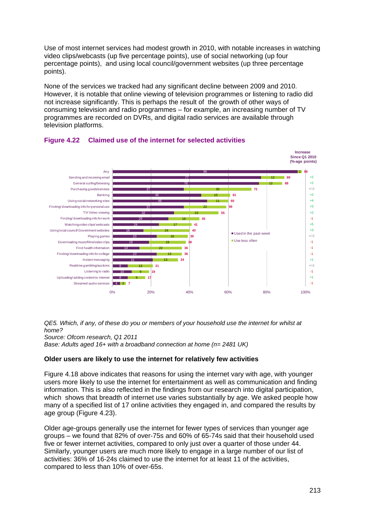Use of most internet services had modest growth in 2010, with notable increases in watching video clips/webcasts (up five percentage points), use of social networking (up four percentage points), and using local council/government websites (up three percentage points).

None of the services we tracked had any significant decline between 2009 and 2010. However, it is notable that online viewing of television programmes or listening to radio did not increase significantly. This is perhaps the result of the growth of other ways of consuming television and radio programmes – for example, an increasing number of TV programmes are recorded on DVRs, and digital radio services are available through television platforms.



## <span id="page-22-0"></span>**Figure 4.22 Claimed use of the internet for selected activities**

*QE5. Which, if any, of these do you or members of your household use the internet for whilst at home? Source: Ofcom research, Q1 2011 Base: Adults aged 16+ with a broadband connection at home (n= 2481 UK)*

## **Older users are likely to use the internet for relatively few activities**

[Figure 4.18](#page-19-1) above indicates that reasons for using the internet vary with age, with younger users more likely to use the internet for entertainment as well as communication and finding information. This is also reflected in the findings from our research into digital participation, which shows that breadth of internet use varies substantially by age. We asked people how many of a specified list of 17 online activities they engaged in, and compared the results by age group [\(Figure 4.23\)](#page-23-1).

Older age-groups generally use the internet for fewer types of services than younger age groups – we found that 82% of over-75s and 60% of 65-74s said that their household used five or fewer internet activities, compared to only just over a quarter of those under 44. Similarly, younger users are much more likely to engage in a large number of our list of activities: 36% of 16-24s claimed to use the internet for at least 11 of the activities, compared to less than 10% of over-65s.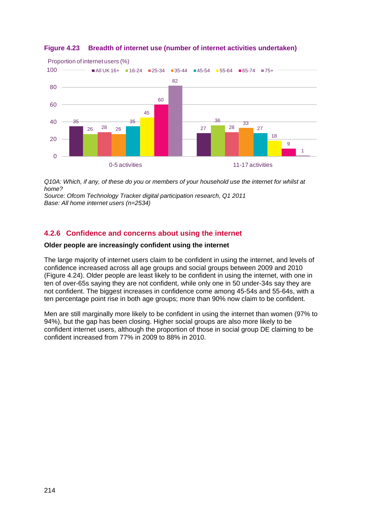

## <span id="page-23-1"></span>**Figure 4.23 Breadth of internet use (number of internet activities undertaken)**

*Q10A: Which, if any, of these do you or members of your household use the internet for whilst at home?*

*Source: Ofcom Technology Tracker digital participation research, Q1 2011 Base: All home internet users (n=2534)*

## <span id="page-23-0"></span>**4.2.6 Confidence and concerns about using the internet**

## **Older people are increasingly confident using the internet**

The large majority of internet users claim to be confident in using the internet, and levels of confidence increased across all age groups and social groups between 2009 and 2010 [\(Figure 4.24\)](#page-24-0). Older people are least likely to be confident in using the internet, with one in ten of over-65s saying they are not confident, while only one in 50 under-34s say they are not confident. The biggest increases in confidence come among 45-54s and 55-64s, with a ten percentage point rise in both age groups; more than 90% now claim to be confident.

Men are still marginally more likely to be confident in using the internet than women (97% to 94%), but the gap has been closing. Higher social groups are also more likely to be confident internet users, although the proportion of those in social group DE claiming to be confident increased from 77% in 2009 to 88% in 2010.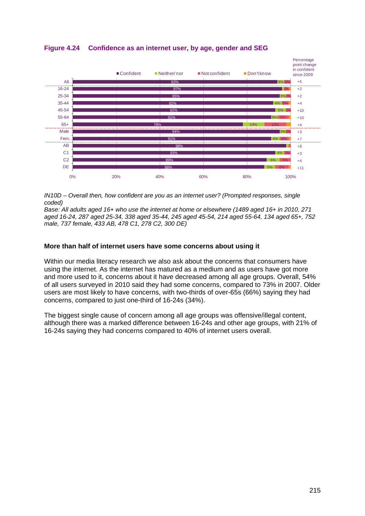

## <span id="page-24-0"></span>**Figure 4.24 Confidence as an internet user, by age, gender and SEG**

*IN10D – Overall then, how confident are you as an internet user? (Prompted responses, single coded)*

*Base: All adults aged 16+ who use the internet at home or elsewhere (1489 aged 16+ in 2010, 271 aged 16-24, 287 aged 25-34, 338 aged 35-44, 245 aged 45-54, 214 aged 55-64, 134 aged 65+, 752 male, 737 female, 433 AB, 478 C1, 278 C2, 300 DE)*

## **More than half of internet users have some concerns about using it**

Within our media literacy research we also ask about the concerns that consumers have using the internet. As the internet has matured as a medium and as users have got more and more used to it, concerns about it have decreased among all age groups. Overall, 54% of all users surveyed in 2010 said they had some concerns, compared to 73% in 2007. Older users are most likely to have concerns, with two-thirds of over-65s (66%) saying they had concerns, compared to just one-third of 16-24s (34%).

The biggest single cause of concern among all age groups was offensive/illegal content, although there was a marked difference between 16-24s and other age groups, with 21% of 16-24s saying they had concerns compared to 40% of internet users overall.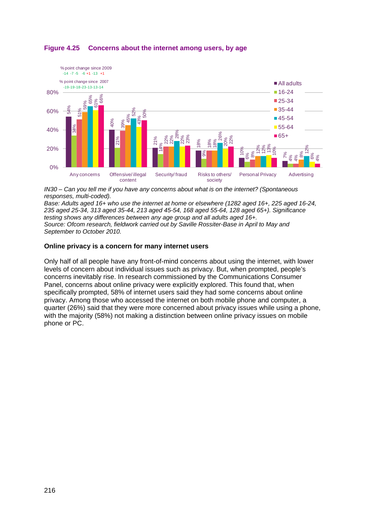

## **Figure 4.25 Concerns about the internet among users, by age**

*IN30 – Can you tell me if you have any concerns about what is on the internet? (Spontaneous responses, multi-coded).*

*Base: Adults aged 16+ who use the internet at home or elsewhere (1282 aged 16+, 225 aged 16-24, 235 aged 25-34, 313 aged 35-44, 213 aged 45-54, 168 aged 55-64, 128 aged 65+). Significance testing shows any differences between any age group and all adults aged 16+. Source: Ofcom research, fieldwork carried out by Saville Rossiter-Base in April to May and September to October 2010.*

## **Online privacy is a concern for many internet users**

Only half of all people have any front-of-mind concerns about using the internet, with lower levels of concern about individual issues such as privacy. But, when prompted, people's concerns inevitably rise. In research commissioned by the Communications Consumer Panel, concerns about online privacy were explicitly explored. This found that, when specifically prompted, 58% of internet users said they had some concerns about online privacy. Among those who accessed the internet on both mobile phone and computer, a quarter (26%) said that they were more concerned about privacy issues while using a phone, with the majority (58%) not making a distinction between online privacy issues on mobile phone or PC.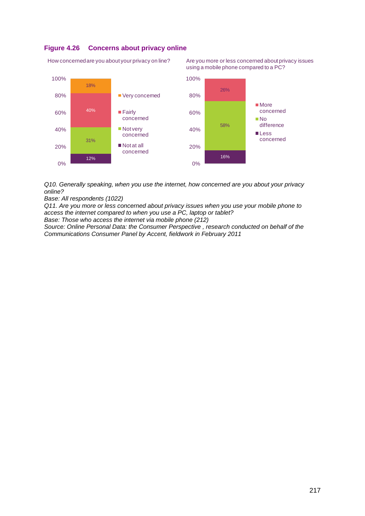#### **Figure 4.26 Concerns about privacy online**

How concerned are you about your privacy on line?

Are you more or less concerned about privacy issues using a mobile phone compared to a PC?



*Q10. Generally speaking, when you use the internet, how concerned are you about your privacy online?*

*Base: All respondents (1022)*

*Q11. Are you more or less concerned about privacy issues when you use your mobile phone to access the internet compared to when you use a PC, laptop or tablet?*

*Base: Those who access the internet via mobile phone (212)*

*Source: Online Personal Data: the Consumer Perspective , research conducted on behalf of the Communications Consumer Panel by Accent, fieldwork in February 2011*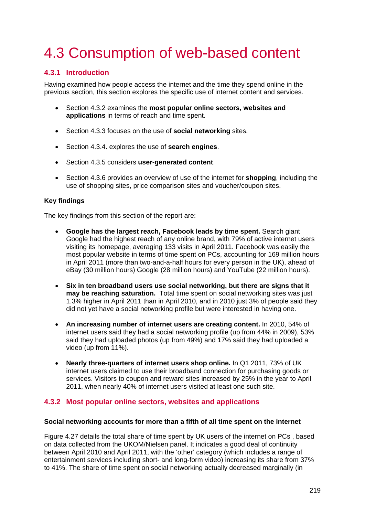## <span id="page-28-0"></span>4.3 Consumption of web-based content

## <span id="page-28-1"></span>**4.3.1 Introduction**

Having examined how people access the internet and the time they spend online in the previous section, this section explores the specific use of internet content and services.

- Section [4.3.2](#page-28-2) examines the **most popular online sectors, websites and applications** in terms of reach and time spent.
- Section [4.3.3](#page-35-0) focuses on the use of **social networking** sites.
- Section [4.3.4.](#page-39-0) explores the use of **search engines**.
- Section [4.3.5](#page-41-0) considers **user-generated content**.
- Section [4.3.6](#page-44-0) provides an overview of use of the internet for **shopping**, including the use of shopping sites, price comparison sites and voucher/coupon sites.

#### **Key findings**

The key findings from this section of the report are:

- **Google has the largest reach, Facebook leads by time spent.** Search giant Google had the highest reach of any online brand, with 79% of active internet users visiting its homepage, averaging 133 visits in April 2011. Facebook was easily the most popular website in terms of time spent on PCs, accounting for 169 million hours in April 2011 (more than two-and-a-half hours for every person in the UK), ahead of eBay (30 million hours) Google (28 million hours) and YouTube (22 million hours).
- **Six in ten broadband users use social networking, but there are signs that it may be reaching saturation.** Total time spent on social networking sites was just 1.3% higher in April 2011 than in April 2010, and in 2010 just 3% of people said they did not yet have a social networking profile but were interested in having one.
- **An increasing number of internet users are creating content.** In 2010, 54% of internet users said they had a social networking profile (up from 44% in 2009), 53% said they had uploaded photos (up from 49%) and 17% said they had uploaded a video (up from 11%).
- **Nearly three-quarters of internet users shop online.** In Q1 2011, 73% of UK internet users claimed to use their broadband connection for purchasing goods or services. Visitors to coupon and reward sites increased by 25% in the year to April 2011, when nearly 40% of internet users visited at least one such site.

## <span id="page-28-2"></span>**4.3.2 Most popular online sectors, websites and applications**

#### **Social networking accounts for more than a fifth of all time spent on the internet**

[Figure 4.27](#page-29-0) details the total share of time spent by UK users of the internet on PCs , based on data collected from the UKOM/Nielsen panel. It indicates a good deal of continuity between April 2010 and April 2011, with the 'other' category (which includes a range of entertainment services including short- and long-form video) increasing its share from 37% to 41%. The share of time spent on social networking actually decreased marginally (in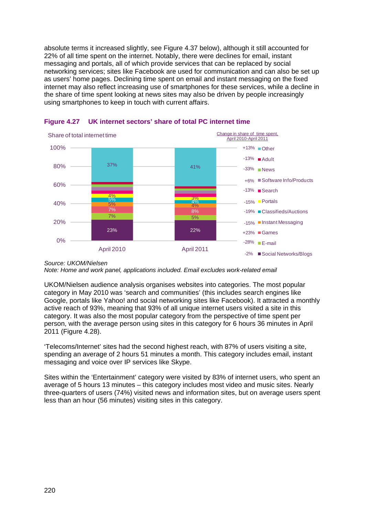absolute terms it increased slightly, see [Figure 4.37](#page-38-0) below), although it still accounted for 22% of all time spent on the internet. Notably, there were declines for email, instant messaging and portals, all of which provide services that can be replaced by social networking services; sites like Facebook are used for communication and can also be set up as users' home pages. Declining time spent on email and instant messaging on the fixed internet may also reflect increasing use of smartphones for these services, while a decline in the share of time spent looking at news sites may also be driven by people increasingly using smartphones to keep in touch with current affairs.



<span id="page-29-0"></span>

*Note: Home and work panel, applications included. Email excludes work-related email*

UKOM/Nielsen audience analysis organises websites into categories. The most popular category in May 2010 was 'search and communities' (this includes search engines like Google, portals like Yahoo! and social networking sites like Facebook). It attracted a monthly active reach of 93%, meaning that 93% of all unique internet users visited a site in this category. It was also the most popular category from the perspective of time spent per person, with the average person using sites in this category for 6 hours 36 minutes in April 2011 [\(Figure 4.28\)](#page-30-0).

'Telecoms/Internet' sites had the second highest reach, with 87% of users visiting a site, spending an average of 2 hours 51 minutes a month. This category includes email, instant messaging and voice over IP services like Skype.

Sites within the 'Entertainment' category were visited by 83% of internet users, who spent an average of 5 hours 13 minutes – this category includes most video and music sites. Nearly three-quarters of users (74%) visited news and information sites, but on average users spent less than an hour (56 minutes) visiting sites in this category.

*Source: UKOM/Nielsen*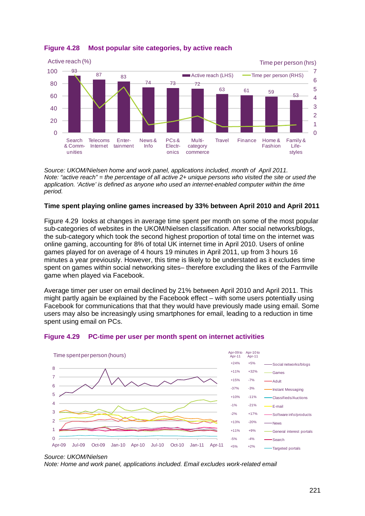

## <span id="page-30-0"></span>**Figure 4.28 Most popular site categories, by active reach**

*Source: UKOM/Nielsen home and work panel, applications included, month of April 2011. Note: "active reach" = the percentage of all active 2+ unique persons who visited the site or used the application. 'Active' is defined as anyone who used an internet-enabled computer within the time period.*

## **Time spent playing online games increased by 33% between April 2010 and April 2011**

[Figure 4.29](#page-30-1) looks at changes in average time spent per month on some of the most popular sub-categories of websites in the UKOM/Nielsen classification. After social networks/blogs, the sub-category which took the second highest proportion of total time on the internet was online gaming, accounting for 8% of total UK internet time in April 2010. Users of online games played for on average of 4 hours 19 minutes in April 2011, up from 3 hours 16 minutes a year previously. However, this time is likely to be understated as it excludes time spent on games within social networking sites– therefore excluding the likes of the Farmville game when played via Facebook.

Average timer per user on email declined by 21% between April 2010 and April 2011. This might partly again be explained by the Facebook effect – with some users potentially using Facebook for communications that that they would have previously made using email. Some users may also be increasingly using smartphones for email, leading to a reduction in time spent using email on PCs.



## <span id="page-30-1"></span>**Figure 4.29 PC-time per user per month spent on internet activities**

*Note: Home and work panel, applications included. Email excludes work-related email*

*Source: UKOM/Nielsen*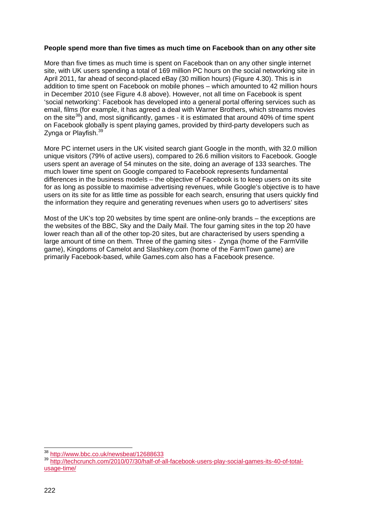#### **People spend more than five times as much time on Facebook than on any other site**

More than five times as much time is spent on Facebook than on any other single internet site, with UK users spending a total of 169 million PC hours on the social networking site in April 2011, far ahead of second-placed eBay (30 million hours) [\(Figure 4.30\)](#page-32-0). This is in addition to time spent on Facebook on mobile phones – which amounted to 42 million hours in December 2010 (see [Figure 4.8](#page-8-1) above). However, not all time on Facebook is spent 'social networking': Facebook has developed into a general portal offering services such as email, films (for example, it has agreed a deal with Warner Brothers, which streams movies on the site<sup>[38](#page-31-0)</sup>) and, most significantly, games - it is estimated that around 40% of time spent on Facebook globally is spent playing games, provided by third-party developers such as Zynga or Playfish.[39](#page-31-1)

More PC internet users in the UK visited search giant Google in the month, with 32.0 million unique visitors (79% of active users), compared to 26.6 million visitors to Facebook. Google users spent an average of 54 minutes on the site, doing an average of 133 searches. The much lower time spent on Google compared to Facebook represents fundamental differences in the business models – the objective of Facebook is to keep users on its site for as long as possible to maximise advertising revenues, while Google's objective is to have users on its site for as little time as possible for each search, ensuring that users quickly find the information they require and generating revenues when users go to advertisers' sites

Most of the UK's top 20 websites by time spent are online-only brands – the exceptions are the websites of the BBC, Sky and the Daily Mail. The four gaming sites in the top 20 have lower reach than all of the other top-20 sites, but are characterised by users spending a large amount of time on them. Three of the gaming sites - Zynga (home of the FarmVille game), Kingdoms of Camelot and Slashkey.com (home of the FarmTown game) are primarily Facebook-based, while Games.com also has a Facebook presence.

 $\frac{1}{38}$ 

<span id="page-31-1"></span><span id="page-31-0"></span><sup>39</sup> [http://techcrunch.com/2010/07/30/half-of-all-facebook-users-play-social-games-its-40-of-total](http://techcrunch.com/2010/07/30/half-of-all-facebook-users-play-social-games-its-40-of-total-usage-time/)[usage-time/](http://techcrunch.com/2010/07/30/half-of-all-facebook-users-play-social-games-its-40-of-total-usage-time/)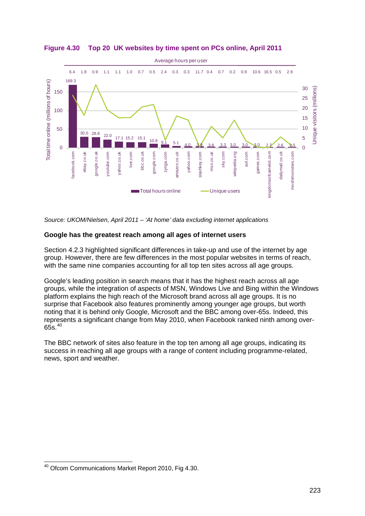

<span id="page-32-0"></span>**Figure 4.30 Top 20 UK websites by time spent on PCs online, April 2011**

*Source: UKOM/Nielsen, April 2011 – 'At home' data excluding internet applications*

## **Google has the greatest reach among all ages of internet users**

Section [4.2.3](#page-17-0) highlighted significant differences in take-up and use of the internet by age group. However, there are few differences in the most popular websites in terms of reach, with the same nine companies accounting for all top ten sites across all age groups.

Google's leading position in search means that it has the highest reach across all age groups, while the integration of aspects of MSN, Windows Live and Bing within the Windows platform explains the high reach of the Microsoft brand across all age groups. It is no surprise that Facebook also features prominently among younger age groups, but worth noting that it is behind only Google, Microsoft and the BBC among over-65s. Indeed, this represents a significant change from May 2010, when Facebook ranked ninth among over- $65s.<sup>40</sup>$  $65s.<sup>40</sup>$  $65s.<sup>40</sup>$ 

The BBC network of sites also feature in the top ten among all age groups, indicating its success in reaching all age groups with a range of content including programme-related, news, sport and weather.

<span id="page-32-1"></span> $\overline{\phantom{a}}$ <sup>40</sup> Ofcom Communications Market Report 2010, Fig 4.30.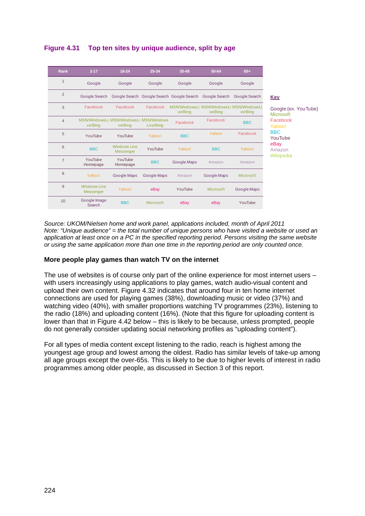## **Figure 4.31 Top ten sites by unique audience, split by age**

| Rank           | $2 - 17$                                | $18 - 24$                                          | 25-34       | 35-49                                     | 50-64                                                | $65+$            |
|----------------|-----------------------------------------|----------------------------------------------------|-------------|-------------------------------------------|------------------------------------------------------|------------------|
| $\mathbf{1}$   | Google                                  | Google                                             | Google      | Google                                    | Google                                               | Google           |
| 2              | Google Search                           |                                                    |             | Google Search Google Search Google Search | <b>Google Search</b>                                 | Google Search    |
| 3              | Facebook                                | Facebook                                           | Facebook    | ve/Bing                                   | MSN/WindowsLi MSN/WindowsLi MSN/WindowsLi<br>ve/Bina | ve/Bing          |
| $\overline{4}$ | ve/Bing                                 | MSN/WindowsLi MSN/WindowsLi MSN/Windows<br>ve/Bing | Live/Bing   | Facebook                                  | Facebook                                             | <b>BBC</b>       |
| 5              | YouTube                                 | YouTube                                            | Yahoo!      | <b>BBC</b>                                | Yahoo!                                               | Facebook         |
| 6              | <b>BBC</b>                              | <b>Windows Live</b><br>Messenger                   | YouTube     | Yahoo!                                    | <b>BBC</b>                                           | Yahoo!           |
| $\overline{7}$ | YouTube<br>Homepage                     | YouTube<br>Homepage                                | <b>BBC</b>  | Google Maps                               | Amazon                                               | Amazon           |
| 8              | Yahoo!                                  | Google Maps                                        | Google Maps | Amazon                                    | Google Maps                                          | <b>Microsoft</b> |
| 9              | <b>Windows Live</b><br><b>Messenger</b> | Yahoo!                                             | eBay        | YouTube                                   | <b>Microsoft</b>                                     | Google Maps      |
| 10             | Google Image<br>Search                  | <b>BBC</b>                                         | Microsoft   | eBay                                      | eBay                                                 | YouTube          |

dle (ex. YouTube) menft ebook aal BBC Tube eBay .<br>1700ipedia

*Source: UKOM/Nielsen home and work panel, applications included, month of April 2011 Note: "Unique audience" = the total number of unique persons who have visited a website or used an application at least once on a PC in the specified reporting period. Persons visiting the same website or using the same application more than one time in the reporting period are only counted once.*

## **More people play games than watch TV on the internet**

The use of websites is of course only part of the online experience for most internet users – with users increasingly using applications to play games, watch audio-visual content and upload their own content. [Figure 4.32](#page-34-0) indicates that around four in ten home internet connections are used for playing games (38%), downloading music or video (37%) and watching video (40%), with smaller proportions watching TV programmes (23%), listening to the radio (18%) and uploading content (16%). (Note that this figure for uploading content is lower than that in [Figure 4.42](#page-43-0) below – this is likely to be because, unless prompted, people do not generally consider updating social networking profiles as "uploading content").

For all types of media content except listening to the radio, reach is highest among the youngest age group and lowest among the oldest. Radio has similar levels of take-up among all age groups except the over-65s. This is likely to be due to higher levels of interest in radio programmes among older people, as discussed in Section 3 of this report.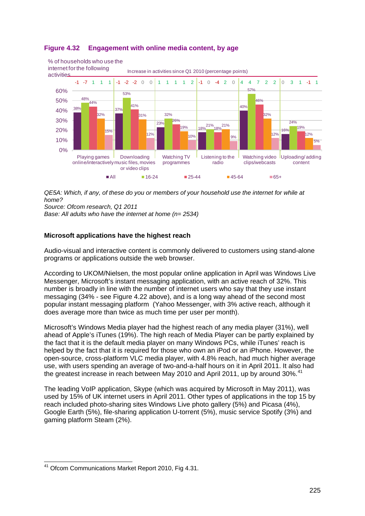

## <span id="page-34-0"></span>**Figure 4.32 Engagement with online media content, by age**

*QE5A: Which, if any, of these do you or members of your household use the internet for while at home?*

*Source: Ofcom research, Q1 2011*

*Base: All adults who have the internet at home (n= 2534)*

## **Microsoft applications have the highest reach**

Audio-visual and interactive content is commonly delivered to customers using stand-alone programs or applications outside the web browser.

According to UKOM/Nielsen, the most popular online application in April was Windows Live Messenger, Microsoft's instant messaging application, with an active reach of 32%. This number is broadly in line with the number of internet users who say that they use instant messaging (34% - see [Figure 4.22](#page-22-0) above), and is a long way ahead of the second most popular instant messaging platform (Yahoo Messenger, with 3% active reach, although it does average more than twice as much time per user per month).

Microsoft's Windows Media player had the highest reach of any media player (31%), well ahead of Apple's iTunes (19%). The high reach of Media Player can be partly explained by the fact that it is the default media player on many Windows PCs, while iTunes' reach is helped by the fact that it is required for those who own an iPod or an iPhone. However, the open-source, cross-platform VLC media player, with 4.8% reach, had much higher average use, with users spending an average of two-and-a-half hours on it in April 2011. It also had the greatest increase in reach between May 2010 and April 2011, up by around 30%.<sup>[41](#page-34-1)</sup>

The leading VoIP application, Skype (which was acquired by Microsoft in May 2011), was used by 15% of UK internet users in April 2011. Other types of applications in the top 15 by reach included photo-sharing sites Windows Live photo gallery (5%) and Picasa (4%), Google Earth (5%), file-sharing application U-torrent (5%), music service Spotify (3%) and gaming platform Steam (2%).

<span id="page-34-1"></span> $\overline{\phantom{a}}$ <sup>41</sup> Ofcom Communications Market Report 2010, Fig 4.31.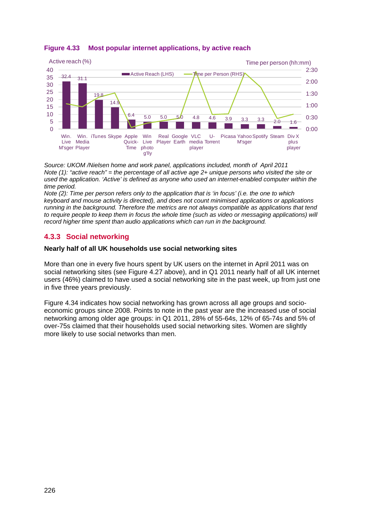

## **Figure 4.33 Most popular internet applications, by active reach**

*Source: UKOM /Nielsen home and work panel, applications included, month of April 2011 Note (1): "active reach" = the percentage of all active age 2+ unique persons who visited the site or used the application. 'Active' is defined as anyone who used an internet-enabled computer within the time period.* 

*Note (2): Time per person refers only to the application that is 'in focus' (i.e. the one to which keyboard and mouse activity is directed), and does not count minimised applications or applications running in the background. Therefore the metrics are not always compatible as applications that tend to require people to keep them in focus the whole time (such as video or messaging applications) will record higher time spent than audio applications which can run in the background.*

## <span id="page-35-0"></span>**4.3.3 Social networking**

## **Nearly half of all UK households use social networking sites**

More than one in every five hours spent by UK users on the internet in April 2011 was on social networking sites (see [Figure 4.27](#page-29-0) above), and in Q1 2011 nearly half of all UK internet users (46%) claimed to have used a social networking site in the past week, up from just one in five three years previously.

[Figure 4.34](#page-36-0) indicates how social networking has grown across all age groups and socioeconomic groups since 2008. Points to note in the past year are the increased use of social networking among older age groups: in Q1 2011, 28% of 55-64s, 12% of 65-74s and 5% of over-75s claimed that their households used social networking sites. Women are slightly more likely to use social networks than men.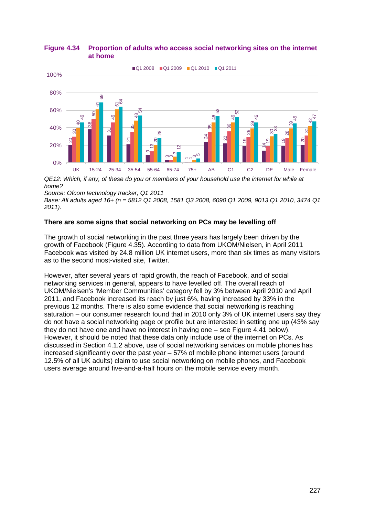#### <span id="page-36-0"></span>**Figure 4.34 Proportion of adults who access social networking sites on the internet at home**



*QE12: Which, if any, of these do you or members of your household use the internet for while at home?*

*Base: All adults aged 16+ (n = 5812 Q1 2008, 1581 Q3 2008, 6090 Q1 2009, 9013 Q1 2010, 3474 Q1 2011).* 

## **There are some signs that social networking on PCs may be levelling off**

The growth of social networking in the past three years has largely been driven by the growth of Facebook [\(Figure 4.35\)](#page-37-1). According to data from UKOM/Nielsen, in April 2011 Facebook was visited by 24.8 million UK internet users, more than six times as many visitors as to the second most-visited site, Twitter.

However, after several years of rapid growth, the reach of Facebook, and of social networking services in general, appears to have levelled off. The overall reach of UKOM/Nielsen's 'Member Communities' category fell by 3% between April 2010 and April 2011, and Facebook increased its reach by just 6%, having increased by 33% in the previous 12 months. There is also some evidence that social networking is reaching saturation – our consumer research found that in 2010 only 3% of UK internet users say they do not have a social networking page or profile but are interested in setting one up (43% say they do not have one and have no interest in having one – see [Figure 4.41](#page-42-0) below). However, it should be noted that these data only include use of the internet on PCs. As discussed in Section [4.1.2](#page-3-0) above, use of social networking services on mobile phones has increased significantly over the past year – 57% of mobile phone internet users (around 12.5% of all UK adults) claim to use social networking on mobile phones, and Facebook As a state of the second most visited site, Twitter.<br>
The property with the my, of these do you or members of your household use the internet for source. Ofteom technology tracker, Q1 2011<br>
DET: With the my, of these do y

*Source: Ofcom technology tracker, Q1 2011*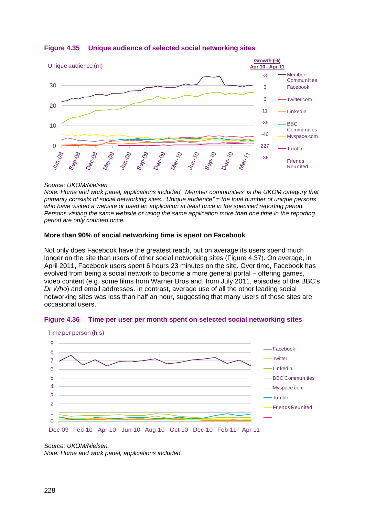

## <span id="page-37-1"></span>**Figure 4.35 Unique audience of selected social networking sites**

## *Source: UKOM/Nielsen*

*Note: Home and work panel, applications included. 'Member communities' is the UKOM category that primarily consists of social networking sites. "Unique audience" = the total number of unique persons who have visited a website or used an application at least once in the specified reporting period. Persons visiting the same website or using the same application more than one time in the reporting period are only counted once.* 

## **More than 90% of social networking time is spent on Facebook**

Not only does Facebook have the greatest reach, but on average its users spend much longer on the site than users of other social networking sites [\(Figure 4.37\)](#page-38-0). On average, in April 2011, Facebook users spent 6 hours 23 minutes on the site. Over time, Facebook has evolved from being a social network to become a more general portal – offering games, video content (e.g. some films from Warner Bros and, from July 2011, episodes of the BBC's *Dr Who*) and email addresses. In contrast, average use of all the other leading social networking sites was less than half an hour, suggesting that many users of these sites are occasional users.

## <span id="page-37-0"></span>**Figure 4.36 Time per user per month spent on selected social networking sites**



Time per person (hrs)

*Note: Home and work panel, applications included.*

*Source: UKOM/Nielsen.*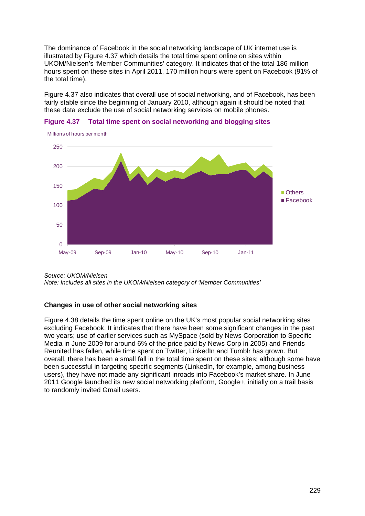The dominance of Facebook in the social networking landscape of UK internet use is illustrated by [Figure 4.37](#page-38-0) which details the total time spent online on sites within UKOM/Nielsen's 'Member Communities' category. It indicates that of the total 186 million hours spent on these sites in April 2011, 170 million hours were spent on Facebook (91% of the total time).

[Figure 4.37](#page-38-0) also indicates that overall use of social networking, and of Facebook, has been fairly stable since the beginning of January 2010, although again it should be noted that these data exclude the use of social networking services on mobile phones.



<span id="page-38-0"></span>

*Source: UKOM/Nielsen*

*Note: Includes all sites in the UKOM/Nielsen category of 'Member Communities'* 

## **Changes in use of other social networking sites**

[Figure 4.38](#page-39-1) details the time spent online on the UK's most popular social networking sites excluding Facebook. It indicates that there have been some significant changes in the past two years; use of earlier services such as MySpace (sold by News Corporation to Specific Media in June 2009 for around 6% of the price paid by News Corp in 2005) and Friends Reunited has fallen, while time spent on Twitter, LinkedIn and Tumblr has grown. But overall, there has been a small fall in the total time spent on these sites; although some have been successful in targeting specific segments (LinkedIn, for example, among business users), they have not made any significant inroads into Facebook's market share. In June 2011 Google launched its new social networking platform, Google+, initially on a trail basis to randomly invited Gmail users.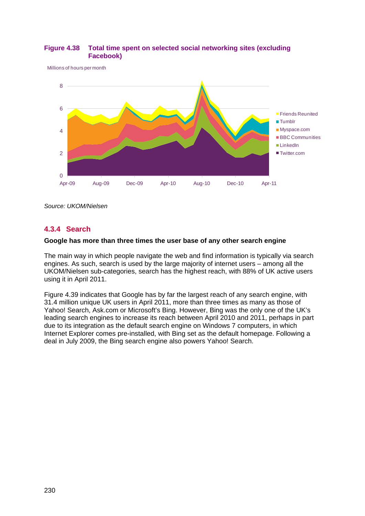

## <span id="page-39-1"></span>**Figure 4.38 Total time spent on selected social networking sites (excluding Facebook)**

Millions of hours per month

*Source: UKOM/Nielsen*

## <span id="page-39-0"></span>**4.3.4 Search**

## **Google has more than three times the user base of any other search engine**

The main way in which people navigate the web and find information is typically via search engines. As such, search is used by the large majority of internet users – among all the UKOM/Nielsen sub-categories, search has the highest reach, with 88% of UK active users using it in April 2011.

[Figure 4.39](#page-40-0) indicates that Google has by far the largest reach of any search engine, with 31.4 million unique UK users in April 2011, more than three times as many as those of Yahoo! Search, Ask.com or Microsoft's Bing. However, Bing was the only one of the UK's leading search engines to increase its reach between April 2010 and 2011, perhaps in part due to its integration as the default search engine on Windows 7 computers, in which Internet Explorer comes pre-installed, with Bing set as the default homepage. Following a deal in July 2009, the Bing search engine also powers Yahoo! Search.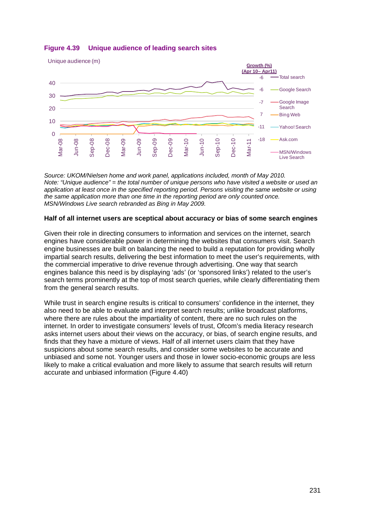

## <span id="page-40-0"></span>**Figure 4.39 Unique audience of leading search sites**

*Source: UKOM/Nielsen home and work panel, applications included, month of May 2010. Note: "Unique audience" = the total number of unique persons who have visited a website or used an application at least once in the specified reporting period. Persons visiting the same website or using the same application more than one time in the reporting period are only counted once. MSN/Windows Live search rebranded as Bing in May 2009.*

## **Half of all internet users are sceptical about accuracy or bias of some search engines**

Given their role in directing consumers to information and services on the internet, search engines have considerable power in determining the websites that consumers visit. Search engine businesses are built on balancing the need to build a reputation for providing wholly impartial search results, delivering the best information to meet the user's requirements, with the commercial imperative to drive revenue through advertising. One way that search engines balance this need is by displaying 'ads' (or 'sponsored links') related to the user's search terms prominently at the top of most search queries, while clearly differentiating them from the general search results.

While trust in search engine results is critical to consumers' confidence in the internet, they also need to be able to evaluate and interpret search results; unlike broadcast platforms, where there are rules about the impartiality of content, there are no such rules on the internet. In order to investigate consumers' levels of trust, Ofcom's media literacy research asks internet users about their views on the accuracy, or bias, of search engine results, and finds that they have a mixture of views. Half of all internet users claim that they have suspicions about some search results, and consider some websites to be accurate and unbiased and some not. Younger users and those in lower socio-economic groups are less likely to make a critical evaluation and more likely to assume that search results will return accurate and unbiased information [\(Figure 4.40\)](#page-41-1)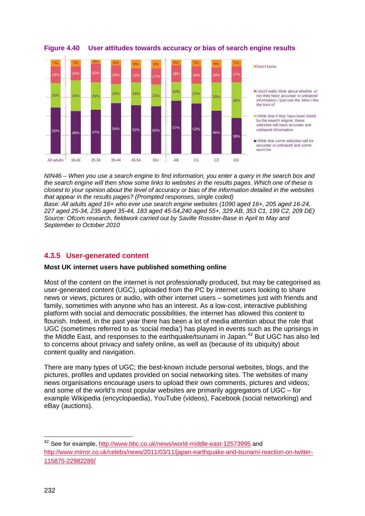

<span id="page-41-1"></span>**Figure 4.40 User attitudes towards accuracy or bias of search engine results**

*NIN46 – When you use a search engine to find information, you enter a query in the search box and the search engine will then show some links to websites in the results pages. Which one of these is closest to your opinion about the level of accuracy or bias of the information detailed in the websites that appear in the results pages? (Prompted responses, single coded)*

*Base: All adults aged 16+ who ever use search engine websites (1090 aged 16+, 205 aged 16-24, 227 aged 25-34, 235 aged 35-44, 183 aged 45-54,240 aged 55+, 329 AB, 353 C1, 199 C2, 209 DE) Source: Ofcom research, fieldwork carried out by Saville Rossiter-Base in April to May and September to October 2010*

## <span id="page-41-0"></span>**4.3.5 User-generated content**

## **Most UK internet users have published something online**

Most of the content on the internet is not professionally produced, but may be categorised as user-generated content (UGC), uploaded from the PC by internet users looking to share news or views, pictures or audio, with other internet users – sometimes just with friends and family, sometimes with anyone who has an interest. As a low-cost, interactive publishing platform with social and democratic possibilities, the internet has allowed this content to flourish. Indeed, in the past year there has been a lot of media attention about the role that UGC (sometimes referred to as 'social media') has played in events such as the uprisings in the Middle East, and responses to the earthquake/tsunami in Japan.<sup>[42](#page-41-2)</sup> But UGC has also led to concerns about privacy and safety online, as well as (because of its ubiquity) about content quality and navigation.

There are many types of UGC; the best-known include personal websites, blogs, and the pictures, profiles and updates provided on social networking sites. The websites of many news organisations encourage users to upload their own comments, pictures and videos; and some of the world's most popular websites are primarily aggregators of UGC – for example Wikipedia (encyclopaedia), YouTube (videos), Facebook (social networking) and eBay (auctions).

-

<span id="page-41-2"></span><sup>&</sup>lt;sup>42</sup> See for example, <http://www.bbc.co.uk/news/world-middle-east-12573995> and [http://www.mirror.co.uk/celebs/news/2011/03/11/japan-earthquake-and-tsunami-reaction-on-twitter-](http://www.mirror.co.uk/celebs/news/2011/03/11/japan-earthquake-and-tsunami-reaction-on-twitter-115875-22982288/)[115875-22982288/](http://www.mirror.co.uk/celebs/news/2011/03/11/japan-earthquake-and-tsunami-reaction-on-twitter-115875-22982288/)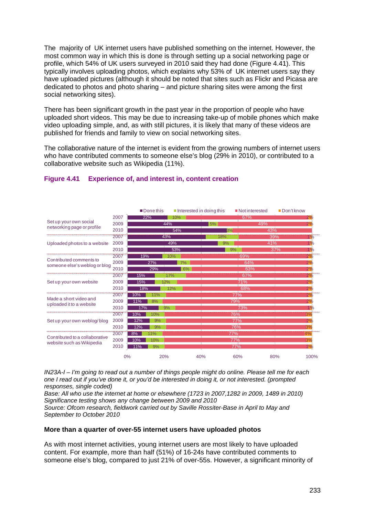The majority of UK internet users have published something on the internet. However, the most common way in which this is done is through setting up a social networking page or profile, which 54% of UK users surveyed in 2010 said they had done [\(Figure 4.41\)](#page-42-0). This typically involves uploading photos, which explains why 53% of UK internet users say they have uploaded pictures (although it should be noted that sites such as Flickr and Picasa are dedicated to photos and photo sharing – and picture sharing sites were among the first social networking sites).

There has been significant growth in the past year in the proportion of people who have uploaded short videos. This may be due to increasing take-up of mobile phones which make video uploading simple, and, as with still pictures, it is likely that many of these videos are published for friends and family to view on social networking sites.

The collaborative nature of the internet is evident from the growing numbers of internet users who have contributed comments to someone else's blog (29% in 2010), or contributed to a collaborative website such as Wikipedia (11%).

|                                |      |     | ■Done this |     |    | $\blacksquare$ Interested in doing this |            | ■Not interested | Don't know |                  |
|--------------------------------|------|-----|------------|-----|----|-----------------------------------------|------------|-----------------|------------|------------------|
|                                | 2007 | 22% |            | 10% |    |                                         |            | 67%             |            | 2%               |
| Set up your own social         | 2009 |     |            | 44% |    | 5%                                      |            | 49%             |            | 2%               |
| networking page or profile     | 2010 |     |            | 54% |    | 8%                                      |            | 43%             |            |                  |
|                                | 2007 |     |            | 43% |    | 18%                                     |            |                 | 39%        | 1%               |
| Uploaded photos to a website   | 2009 |     |            | 49% |    | 9%                                      |            | 41%             |            | 1%               |
|                                | 2010 |     |            | 53% |    |                                         | 9%         |                 | 37%        | 1%               |
| Contributed comments to        | 2007 | 19% |            | 10% |    |                                         |            | 69%             |            | 2%               |
| someone else's weblog or blog  | 2009 |     | 27%        |     | 7% |                                         |            | 64%             |            | 2%               |
|                                | 2010 |     | 29%        |     | 6% |                                         |            | 63%             |            | 2%               |
|                                | 2007 | 15% |            | 17% |    |                                         |            | 67%             |            | 2%               |
| Set up your own website        | 2009 | 15% |            | 12% |    |                                         |            | 71%             |            | 2%               |
|                                | 2010 | 18% |            | 12% |    |                                         |            | 68%             |            | 2%               |
| Made a short video and         | 2007 | 10% | 11%        |     |    |                                         | 77%        |                 |            | $2\%$            |
| uploaded it to a website       | 2009 | 11% | 8%         |     |    |                                         | 79%        |                 |            | 2%               |
|                                | 2010 | 17% |            | 9%  |    |                                         |            | 73%             |            | 1%               |
|                                | 2007 | 10% | 10%        |     |    |                                         | 76%        |                 |            | $\overline{3\%}$ |
| Set up your own weblog/blog    | 2009 | 12% | 9%         |     |    |                                         | 77%        |                 |            | 2%               |
|                                | 2010 | 12% | 9%         |     |    |                                         | 76%        |                 |            | 3%               |
| Contributed to a collaborative | 2007 | 8%  | 1%         |     |    |                                         | 77%        |                 |            | 4%               |
| website such as Wikipedia      | 2009 | 10% | 10%        |     |    |                                         | 77%        |                 |            | 3%               |
|                                | 2010 | 11% | 9%         |     |    |                                         | <b>77%</b> |                 |            | 2%               |
|                                |      | 0%  |            | 20% |    | 40%                                     | 60%        |                 | 80%        | 100%             |

## <span id="page-42-0"></span>**Figure 4.41 Experience of, and interest in, content creation**

*IN23A-I – I'm going to read out a number of things people might do online. Please tell me for each one I read out if you've done it, or you'd be interested in doing it, or not interested. (prompted responses, single coded)*

*Base: All who use the internet at home or elsewhere (1723 in 2007,1282 in 2009, 1489 in 2010) Significance testing shows any change between 2009 and 2010*

*Source: Ofcom research, fieldwork carried out by Saville Rossiter-Base in April to May and September to October 2010* 

## **More than a quarter of over-55 internet users have uploaded photos**

As with most internet activities, young internet users are most likely to have uploaded content. For example, more than half (51%) of 16-24s have contributed comments to someone else's blog, compared to just 21% of over-55s. However, a significant minority of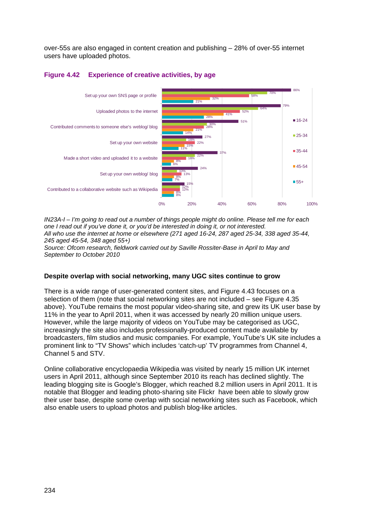over-55s are also engaged in content creation and publishing – 28% of over-55 internet users have uploaded photos.



## <span id="page-43-0"></span>**Figure 4.42 Experience of creative activities, by age**

*IN23A-I – I'm going to read out a number of things people might do online. Please tell me for each one I read out if you've done it, or you'd be interested in doing it, or not interested. All who use the internet at home or elsewhere (271 aged 16-24, 287 aged 25-34, 338 aged 35-44, 245 aged 45-54, 348 aged 55+)*

*Source: Ofcom research, fieldwork carried out by Saville Rossiter-Base in April to May and September to October 2010* 

## **Despite overlap with social networking, many UGC sites continue to grow**

There is a wide range of user-generated content sites, and [Figure 4.43](#page-44-1) focuses on a selection of them (note that social networking sites are not included – see [Figure 4.35](#page-37-1) above). YouTube remains the most popular video-sharing site, and grew its UK user base by 11% in the year to April 2011, when it was accessed by nearly 20 million unique users. However, while the large majority of videos on YouTube may be categorised as UGC, increasingly the site also includes professionally-produced content made available by broadcasters, film studios and music companies. For example, YouTube's UK site includes a prominent link to "TV Shows" which includes 'catch-up' TV programmes from Channel 4, Channel 5 and STV.

Online collaborative encyclopaedia Wikipedia was visited by nearly 15 million UK internet users in April 2011, although since September 2010 its reach has declined slightly. The leading blogging site is Google's Blogger, which reached 8.2 million users in April 2011. It is notable that Blogger and leading photo-sharing site Flickr have been able to slowly grow their user base, despite some overlap with social networking sites such as Facebook, which also enable users to upload photos and publish blog-like articles.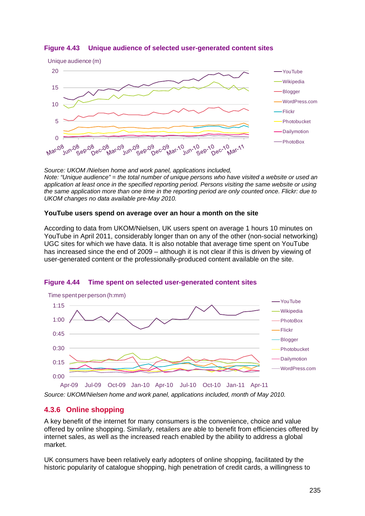

<span id="page-44-1"></span>**Figure 4.43 Unique audience of selected user-generated content sites**

*Source: UKOM /Nielsen home and work panel, applications included, Note: "Unique audience" = the total number of unique persons who have visited a website or used an application at least once in the specified reporting period. Persons visiting the same website or using the same application more than one time in the reporting period are only counted once. Flickr: due to UKOM changes no data available pre-May 2010.*

#### **YouTube users spend on average over an hour a month on the site**

According to data from UKOM/Nielsen, UK users spent on average 1 hours 10 minutes on YouTube in April 2011, considerably longer than on any of the other (non-social networking) UGC sites for which we have data. It is also notable that average time spent on YouTube has increased since the end of 2009 – although it is not clear if this is driven by viewing of user-generated content or the professionally-produced content available on the site.



#### **Figure 4.44 Time spent on selected user-generated content sites**

*Source: UKOM/Nielsen home and work panel, applications included, month of May 2010.*

## <span id="page-44-0"></span>**4.3.6 Online shopping**

A key benefit of the internet for many consumers is the convenience, choice and value offered by online shopping. Similarly, retailers are able to benefit from efficiencies offered by internet sales, as well as the increased reach enabled by the ability to address a global market.

UK consumers have been relatively early adopters of online shopping, facilitated by the historic popularity of catalogue shopping, high penetration of credit cards, a willingness to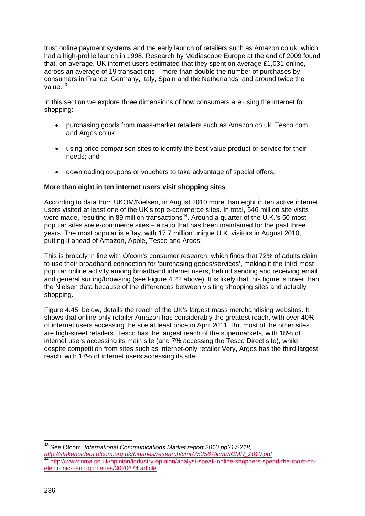trust online payment systems and the early launch of retailers such as Amazon.co.uk, which had a high-profile launch in 1998. Research by Mediascope Europe at the end of 2009 found that, on average, UK internet users estimated that they spent on average £1,031 online, across an average of 19 transactions – more than double the number of purchases by consumers in France, Germany, Italy, Spain and the Netherlands, and around twice the value.<sup>[43](#page-45-0)</sup>

In this section we explore three dimensions of how consumers are using the internet for shopping:

- purchasing goods from mass-market retailers such as Amazon.co.uk, Tesco.com and Argos.co.uk;
- using price comparison sites to identify the best-value product or service for their needs; and
- downloading coupons or vouchers to take advantage of special offers.

## **More than eight in ten internet users visit shopping sites**

According to data from UKOM/Nielsen, in August 2010 more than eight in ten active internet users visited at least one of the UK's top e-commerce sites. In total, 546 million site visits were made, resulting in 89 million transactions<sup>[44](#page-45-1)</sup>. Around a quarter of the U.K.'s 50 most popular sites are e-commerce sites – a ratio that has been maintained for the past three years. The most popular is eBay, with 17.7 million unique U.K. visitors in August 2010, putting it ahead of Amazon, Apple, Tesco and Argos.

This is broadly in line with Ofcom's consumer research, which finds that 72% of adults claim to use their broadband connection for 'purchasing goods/services', making it the third most popular online activity among broadband internet users, behind sending and receiving email and general surfing/browsing (see [Figure 4.22](#page-22-0) above). It is likely that this figure is lower than the Nielsen data because of the differences between visiting shopping sites and actually shopping.

[Figure 4.45,](#page-46-0) below, details the reach of the UK's largest mass merchandising websites. It shows that online-only retailer Amazon has considerably the greatest reach, with over 40% of internet users accessing the site at least once in April 2011. But most of the other sites are high-street retailers. Tesco has the largest reach of the supermarkets, with 18% of internet users accessing its main site (and 7% accessing the Tesco Direct site), while despite competition from sites such as internet-only retailer Very, Argos has the third largest reach, with 17% of internet users accessing its site.

<span id="page-45-1"></span><span id="page-45-0"></span> $\overline{\phantom{a}}$ <sup>43</sup> See Ofcom, *International Communications Market report 2010 pp217-218, [http://stakeholders.ofcom.org.uk/binaries/research/cmr/753567/icmr/ICMR\\_2010.pdf](http://stakeholders.ofcom.org.uk/binaries/research/cmr/753567/icmr/ICMR_2010.pdf)* [http://www.nma.co.uk/opinion/industry-opinion/analyst-speak-online-shoppers-spend-the-most-on](http://www.nma.co.uk/opinion/industry-opinion/analyst-speak-online-shoppers-spend-the-most-on-electronics-and-groceries/3020674.article)[electronics-and-groceries/3020674.article](http://www.nma.co.uk/opinion/industry-opinion/analyst-speak-online-shoppers-spend-the-most-on-electronics-and-groceries/3020674.article)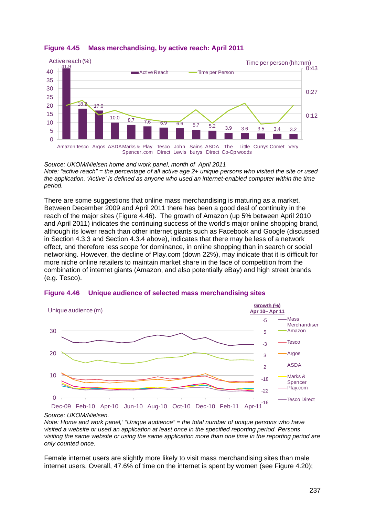

## <span id="page-46-0"></span>**Figure 4.45 Mass merchandising, by active reach: April 2011**

*Source: UKOM/Nielsen home and work panel, month of April 2011 Note: "active reach" = the percentage of all active age 2+ unique persons who visited the site or used the application. 'Active' is defined as anyone who used an internet-enabled computer within the time period.*

There are some suggestions that online mass merchandising is maturing as a market. Between December 2009 and April 2011 there has been a good deal of continuity in the reach of the major sites [\(Figure 4.46\)](#page-46-1). The growth of Amazon (up 5% between April 2010 and April 2011) indicates the continuing success of the world's major online shopping brand, although its lower reach than other internet giants such as Facebook and Google (discussed in Section [4.3.3](#page-35-0) and Section [4.3.4](#page-39-0) above), indicates that there may be less of a network effect, and therefore less scope for dominance, in online shopping than in search or social networking. However, the decline of Play.com (down 22%), may indicate that it is difficult for more niche online retailers to maintain market share in the face of competition from the combination of internet giants (Amazon, and also potentially eBay) and high street brands (e.g. Tesco).



#### <span id="page-46-1"></span>**Figure 4.46 Unique audience of selected mass merchandising sites**

*Source: UKOM/Nielsen.*

*Note: Home and work panel,' "Unique audience" = the total number of unique persons who have visited a website or used an application at least once in the specified reporting period. Persons visiting the same website or using the same application more than one time in the reporting period are only counted once.*

Female internet users are slightly more likely to visit mass merchandising sites than male internet users. Overall, 47.6% of time on the internet is spent by women (see [Figure 4.20\)](#page-21-1);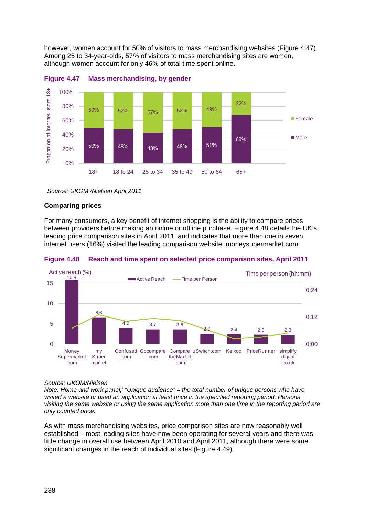however, women account for 50% of visitors to mass merchandising websites [\(Figure 4.47\)](#page-47-0). Among 25 to 34-year-olds, 57% of visitors to mass merchandising sites are women, although women account for only 46% of total time spent online.



<span id="page-47-0"></span>

## **Comparing prices**

For many consumers, a key benefit of internet shopping is the ability to compare prices between providers before making an online or offline purchase. [Figure 4.48](#page-47-1) details the UK's leading price comparison sites in April 2011, and indicates that more than one in seven internet users (16%) visited the leading comparison website, moneysupermarket.com.



<span id="page-47-1"></span>**Figure 4.48 Reach and time spent on selected price comparison sites, April 2011** 

#### *Source: UKOM/Nielsen*

*Note: Home and work panel,' "Unique audience" = the total number of unique persons who have visited a website or used an application at least once in the specified reporting period. Persons visiting the same website or using the same application more than one time in the reporting period are only counted once.* 

As with mass merchandising websites, price comparison sites are now reasonably well established – most leading sites have now been operating for several years and there was little change in overall use between April 2010 and April 2011, although there were some significant changes in the reach of individual sites [\(Figure 4.49\)](#page-48-0).

*Source: UKOM /Nielsen April 2011*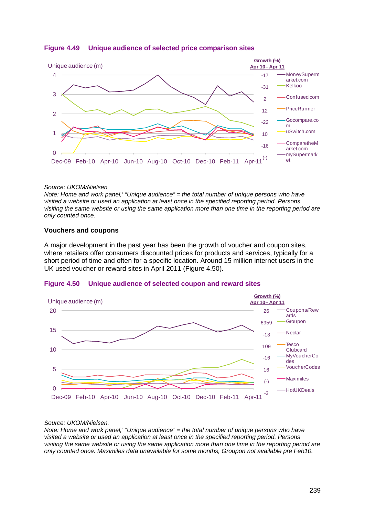

## <span id="page-48-0"></span>**Figure 4.49 Unique audience of selected price comparison sites**

#### *Source: UKOM/Nielsen*

*Note: Home and work panel,' "Unique audience" = the total number of unique persons who have visited a website or used an application at least once in the specified reporting period. Persons visiting the same website or using the same application more than one time in the reporting period are only counted once.* 

#### **Vouchers and coupons**

A major development in the past year has been the growth of voucher and coupon sites, where retailers offer consumers discounted prices for products and services, typically for a short period of time and often for a specific location. Around 15 million internet users in the UK used voucher or reward sites in April 2011 [\(Figure 4.50\)](#page-48-1).

<span id="page-48-1"></span>



#### *Source: UKOM/Nielsen.*

*Note: Home and work panel,' "Unique audience" = the total number of unique persons who have visited a website or used an application at least once in the specified reporting period. Persons visiting the same website or using the same application more than one time in the reporting period are only counted once. Maximiles data unavailable for some months, Groupon not available pre Feb10.*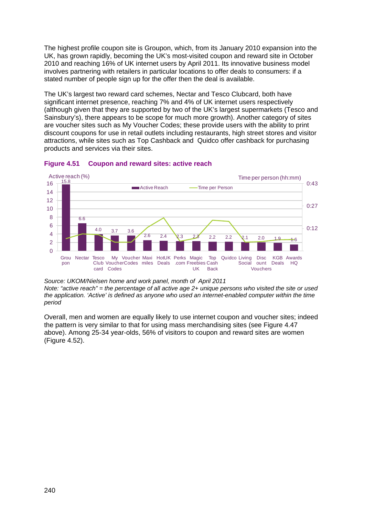The highest profile coupon site is Groupon, which, from its January 2010 expansion into the UK, has grown rapidly, becoming the UK's most-visited coupon and reward site in October 2010 and reaching 16% of UK internet users by April 2011. Its innovative business model involves partnering with retailers in particular locations to offer deals to consumers: if a stated number of people sign up for the offer then the deal is available.

The UK's largest two reward card schemes, Nectar and Tesco Clubcard, both have significant internet presence, reaching 7% and 4% of UK internet users respectively (although given that they are supported by two of the UK's largest supermarkets (Tesco and Sainsbury's), there appears to be scope for much more growth). Another category of sites are voucher sites such as My Voucher Codes; these provide users with the ability to print discount coupons for use in retail outlets including restaurants, high street stores and visitor attractions, while sites such as Top Cashback and Quidco offer cashback for purchasing products and services via their sites.



## **Figure 4.51 Coupon and reward sites: active reach**

*Source: UKOM/Nielsen home and work panel, month of April 2011 Note: "active reach" = the percentage of all active age 2+ unique persons who visited the site or used the application. 'Active' is defined as anyone who used an internet-enabled computer within the time period*

Overall, men and women are equally likely to use internet coupon and voucher sites; indeed the pattern is very similar to that for using mass merchandising sites (see [Figure 4.47](#page-47-0) above). Among 25-34 year-olds, 56% of visitors to coupon and reward sites are women [\(Figure 4.52\)](#page-50-0).